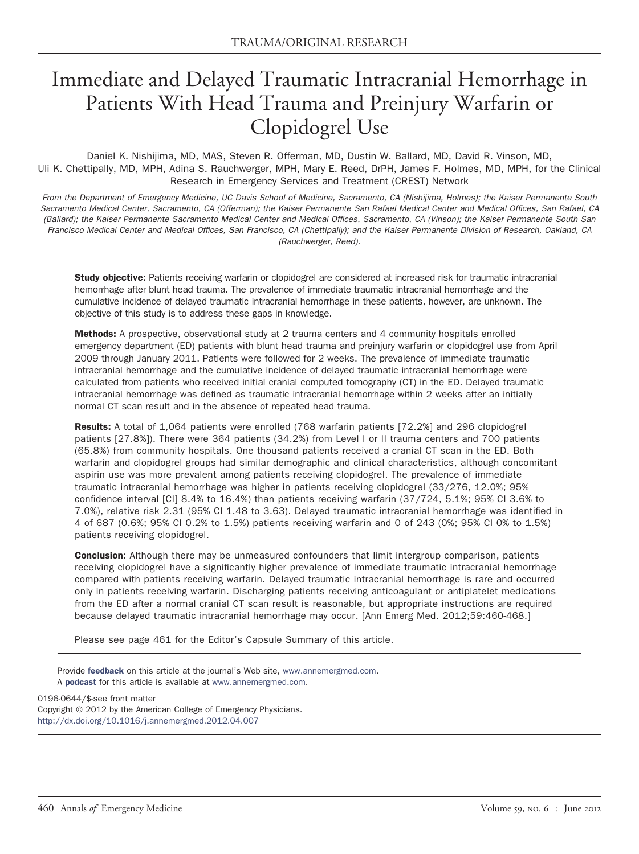# Immediate and Delayed Traumatic Intracranial Hemorrhage in Patients With Head Trauma and Preinjury Warfarin or Clopidogrel Use

Daniel K. Nishijima, MD, MAS, Steven R. Offerman, MD, Dustin W. Ballard, MD, David R. Vinson, MD, Uli K. Chettipally, MD, MPH, Adina S. Rauchwerger, MPH, Mary E. Reed, DrPH, James F. Holmes, MD, MPH, for the Clinical Research in Emergency Services and Treatment (CREST) Network

*From the Department of Emergency Medicine, UC Davis School of Medicine, Sacramento, CA (Nishijima, Holmes); the Kaiser Permanente South Sacramento Medical Center, Sacramento, CA (Offerman); the Kaiser Permanente San Rafael Medical Center and Medical Offices, San Rafael, CA (Ballard); the Kaiser Permanente Sacramento Medical Center and Medical Offices, Sacramento, CA (Vinson); the Kaiser Permanente South San Francisco Medical Center and Medical Offices, San Francisco, CA (Chettipally); and the Kaiser Permanente Division of Research, Oakland, CA (Rauchwerger, Reed).*

Study objective: Patients receiving warfarin or clopidogrel are considered at increased risk for traumatic intracranial hemorrhage after blunt head trauma. The prevalence of immediate traumatic intracranial hemorrhage and the cumulative incidence of delayed traumatic intracranial hemorrhage in these patients, however, are unknown. The objective of this study is to address these gaps in knowledge.

Methods: A prospective, observational study at 2 trauma centers and 4 community hospitals enrolled emergency department (ED) patients with blunt head trauma and preinjury warfarin or clopidogrel use from April 2009 through January 2011. Patients were followed for 2 weeks. The prevalence of immediate traumatic intracranial hemorrhage and the cumulative incidence of delayed traumatic intracranial hemorrhage were calculated from patients who received initial cranial computed tomography (CT) in the ED. Delayed traumatic intracranial hemorrhage was defined as traumatic intracranial hemorrhage within 2 weeks after an initially normal CT scan result and in the absence of repeated head trauma.

Results: A total of 1,064 patients were enrolled (768 warfarin patients [72.2%] and 296 clopidogrel patients [27.8%]). There were 364 patients (34.2%) from Level I or II trauma centers and 700 patients (65.8%) from community hospitals. One thousand patients received a cranial CT scan in the ED. Both warfarin and clopidogrel groups had similar demographic and clinical characteristics, although concomitant aspirin use was more prevalent among patients receiving clopidogrel. The prevalence of immediate traumatic intracranial hemorrhage was higher in patients receiving clopidogrel (33/276, 12.0%; 95% confidence interval [CI] 8.4% to 16.4%) than patients receiving warfarin (37/724, 5.1%; 95% CI 3.6% to 7.0%), relative risk 2.31 (95% CI 1.48 to 3.63). Delayed traumatic intracranial hemorrhage was identified in 4 of 687 (0.6%; 95% CI 0.2% to 1.5%) patients receiving warfarin and 0 of 243 (0%; 95% CI 0% to 1.5%) patients receiving clopidogrel.

**Conclusion:** Although there may be unmeasured confounders that limit intergroup comparison, patients receiving clopidogrel have a significantly higher prevalence of immediate traumatic intracranial hemorrhage compared with patients receiving warfarin. Delayed traumatic intracranial hemorrhage is rare and occurred only in patients receiving warfarin. Discharging patients receiving anticoagulant or antiplatelet medications from the ED after a normal cranial CT scan result is reasonable, but appropriate instructions are required because delayed traumatic intracranial hemorrhage may occur. [Ann Emerg Med. 2012;59:460-468.]

Please see page 461 for the Editor's Capsule Summary of this article.

Provide [feedback](http://www.lexisnexis.com/dpartner/process.asp?qs_id=7707) on this article at the journal's Web site, [www.annemergmed.com.](http://www.annemergmed.com) A [podcast](http://annemergmed.com/content/podcast) for this article is available at [www.annemergmed.com.](http://www.annemergmed.com)

0196-0644/\$-see front matter Copyright © 2012 by the American College of Emergency Physicians. <http://dx.doi.org/10.1016/j.annemergmed.2012.04.007>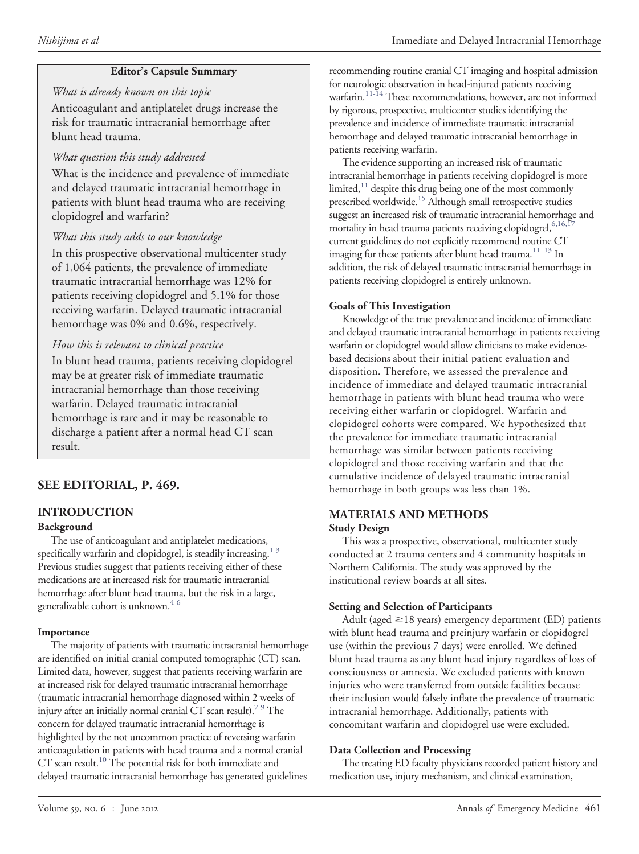### **Editor's Capsule Summary**

### *What is already known on this topic*

Anticoagulant and antiplatelet drugs increase the risk for traumatic intracranial hemorrhage after blunt head trauma.

### *What question this study addressed*

What is the incidence and prevalence of immediate and delayed traumatic intracranial hemorrhage in patients with blunt head trauma who are receiving clopidogrel and warfarin?

### *What this study adds to our knowledge*

In this prospective observational multicenter study of 1,064 patients, the prevalence of immediate traumatic intracranial hemorrhage was 12% for patients receiving clopidogrel and 5.1% for those receiving warfarin. Delayed traumatic intracranial hemorrhage was 0% and 0.6%, respectively.

### *How this is relevant to clinical practice*

In blunt head trauma, patients receiving clopidogrel may be at greater risk of immediate traumatic intracranial hemorrhage than those receiving warfarin. Delayed traumatic intracranial hemorrhage is rare and it may be reasonable to discharge a patient after a normal head CT scan result.

### **SEE EDITORIAL, P. 469.**

## **INTRODUCTION**

### **Background**

The use of anticoagulant and antiplatelet medications, specifically warfarin and clopidogrel, is steadily increasing. $1-3$ Previous studies suggest that patients receiving either of these medications are at increased risk for traumatic intracranial hemorrhage after blunt head trauma, but the risk in a large, generalizable cohort is unknown.<sup>4-6</sup>

### **Importance**

The majority of patients with traumatic intracranial hemorrhage are identified on initial cranial computed tomographic (CT) scan. Limited data, however, suggest that patients receiving warfarin are at increased risk for delayed traumatic intracranial hemorrhage (traumatic intracranial hemorrhage diagnosed within 2 weeks of injury after an initially normal cranial CT scan result).<sup>7-9</sup> The concern for delayed traumatic intracranial hemorrhage is highlighted by the not uncommon practice of reversing warfarin anticoagulation in patients with head trauma and a normal cranial CT scan result.<sup>10</sup> The potential risk for both immediate and delayed traumatic intracranial hemorrhage has generated guidelines

recommending routine cranial CT imaging and hospital admission for neurologic observation in head-injured patients receiving warfarin[.11-14](#page-7-4) These recommendations, however, are not informed by rigorous, prospective, multicenter studies identifying the prevalence and incidence of immediate traumatic intracranial hemorrhage and delayed traumatic intracranial hemorrhage in patients receiving warfarin.

The evidence supporting an increased risk of traumatic intracranial hemorrhage in patients receiving clopidogrel is more limited,<sup>11</sup> despite this drug being one of the most commonly prescribed worldwide[.15](#page-7-5) Although small retrospective studies suggest an increased risk of traumatic intracranial hemorrhage and mortality in head trauma patients receiving clopidogrel, 6,16,1 current guidelines do not explicitly recommend routine CT imaging for these patients after blunt head trauma. $11-13$  In addition, the risk of delayed traumatic intracranial hemorrhage in patients receiving clopidogrel is entirely unknown.

### **Goals of This Investigation**

Knowledge of the true prevalence and incidence of immediate and delayed traumatic intracranial hemorrhage in patients receiving warfarin or clopidogrel would allow clinicians to make evidencebased decisions about their initial patient evaluation and disposition. Therefore, we assessed the prevalence and incidence of immediate and delayed traumatic intracranial hemorrhage in patients with blunt head trauma who were receiving either warfarin or clopidogrel. Warfarin and clopidogrel cohorts were compared. We hypothesized that the prevalence for immediate traumatic intracranial hemorrhage was similar between patients receiving clopidogrel and those receiving warfarin and that the cumulative incidence of delayed traumatic intracranial hemorrhage in both groups was less than 1%.

#### **MATERIALS AND METHODS Study Design**

This was a prospective, observational, multicenter study conducted at 2 trauma centers and 4 community hospitals in Northern California. The study was approved by the institutional review boards at all sites.

### **Setting and Selection of Participants**

Adult (aged  $\geq$ 18 years) emergency department (ED) patients with blunt head trauma and preinjury warfarin or clopidogrel use (within the previous 7 days) were enrolled. We defined blunt head trauma as any blunt head injury regardless of loss of consciousness or amnesia. We excluded patients with known injuries who were transferred from outside facilities because their inclusion would falsely inflate the prevalence of traumatic intracranial hemorrhage. Additionally, patients with concomitant warfarin and clopidogrel use were excluded.

### **Data Collection and Processing**

The treating ED faculty physicians recorded patient history and medication use, injury mechanism, and clinical examination,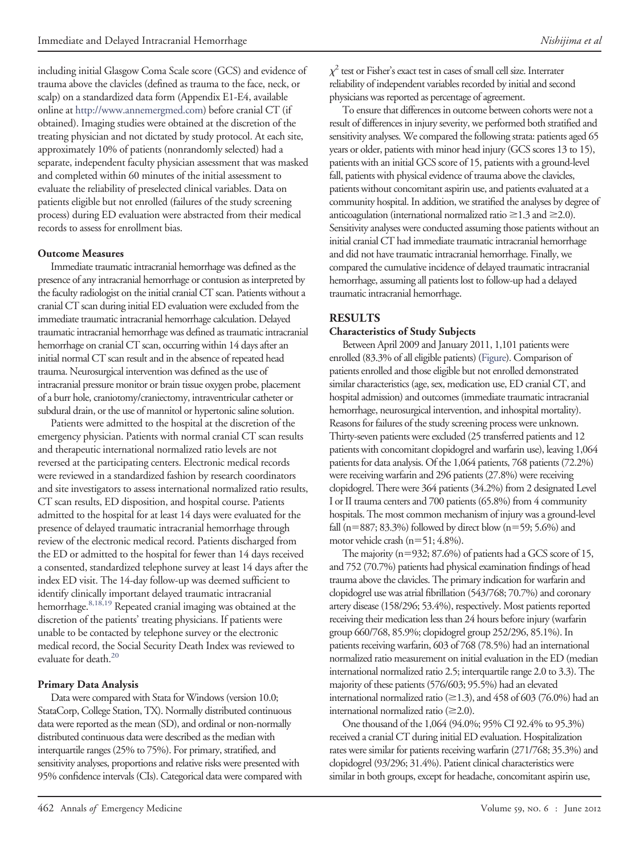including initial Glasgow Coma Scale score (GCS) and evidence of trauma above the clavicles (defined as trauma to the face, neck, or scalp) on a standardized data form (Appendix E1-E4, available online at [http://www.annemergmed.com\)](http://www.annemergmed.com) before cranial CT (if obtained). Imaging studies were obtained at the discretion of the treating physician and not dictated by study protocol. At each site, approximately 10% of patients (nonrandomly selected) had a separate, independent faculty physician assessment that was masked and completed within 60 minutes of the initial assessment to evaluate the reliability of preselected clinical variables. Data on patients eligible but not enrolled (failures of the study screening process) during ED evaluation were abstracted from their medical records to assess for enrollment bias.

#### **Outcome Measures**

Immediate traumatic intracranial hemorrhage was defined as the presence of any intracranial hemorrhage or contusion as interpreted by the faculty radiologist on the initial cranial CT scan. Patients without a cranial CT scan during initial ED evaluation were excluded from the immediate traumatic intracranial hemorrhage calculation. Delayed traumatic intracranial hemorrhage was defined as traumatic intracranial hemorrhage on cranial CT scan, occurring within 14 days after an initial normal CT scan result and in the absence of repeated head trauma. Neurosurgical intervention was defined as the use of intracranial pressure monitor or brain tissue oxygen probe, placement of a burr hole, craniotomy/craniectomy, intraventricular catheter or subdural drain, or the use of mannitol or hypertonic saline solution.

Patients were admitted to the hospital at the discretion of the emergency physician. Patients with normal cranial CT scan results and therapeutic international normalized ratio levels are not reversed at the participating centers. Electronic medical records were reviewed in a standardized fashion by research coordinators and site investigators to assess international normalized ratio results, CT scan results, ED disposition, and hospital course. Patients admitted to the hospital for at least 14 days were evaluated for the presence of delayed traumatic intracranial hemorrhage through review of the electronic medical record. Patients discharged from the ED or admitted to the hospital for fewer than 14 days received a consented, standardized telephone survey at least 14 days after the index ED visit. The 14-day follow-up was deemed sufficient to identify clinically important delayed traumatic intracranial hemorrhage[.8,18,19](#page-7-7) Repeated cranial imaging was obtained at the discretion of the patients' treating physicians. If patients were unable to be contacted by telephone survey or the electronic medical record, the Social Security Death Index was reviewed to evaluate for death.<sup>20</sup>

#### **Primary Data Analysis**

Data were compared with Stata for Windows (version 10.0; StataCorp, College Station, TX). Normally distributed continuous data were reported as the mean (SD), and ordinal or non-normally distributed continuous data were described as the median with interquartile ranges (25% to 75%). For primary, stratified, and sensitivity analyses, proportions and relative risks were presented with 95% confidence intervals (CIs). Categorical data were compared with

 $\chi^2$  test or Fisher's exact test in cases of small cell size. Interrater reliability of independent variables recorded by initial and second physicians was reported as percentage of agreement.

To ensure that differences in outcome between cohorts were not a result of differences in injury severity, we performed both stratified and sensitivity analyses. We compared the following strata: patients aged 65 years or older, patients with minor head injury (GCS scores 13 to 15), patients with an initial GCS score of 15, patients with a ground-level fall, patients with physical evidence of trauma above the clavicles, patients without concomitant aspirin use, and patients evaluated at a community hospital. In addition, we stratified the analyses by degree of anticoagulation (international normalized ratio  $\geq$  1.3 and  $\geq$  2.0). Sensitivity analyses were conducted assuming those patients without an initial cranial CT had immediate traumatic intracranial hemorrhage and did not have traumatic intracranial hemorrhage. Finally, we compared the cumulative incidence of delayed traumatic intracranial hemorrhage, assuming all patients lost to follow-up had a delayed traumatic intracranial hemorrhage.

#### **RESULTS**

#### **Characteristics of Study Subjects**

Between April 2009 and January 2011, 1,101 patients were enrolled (83.3% of all eligible patients) [\(Figure\)](#page-3-0). Comparison of patients enrolled and those eligible but not enrolled demonstrated similar characteristics (age, sex, medication use, ED cranial CT, and hospital admission) and outcomes (immediate traumatic intracranial hemorrhage, neurosurgical intervention, and inhospital mortality). Reasons for failures of the study screening process were unknown. Thirty-seven patients were excluded (25 transferred patients and 12 patients with concomitant clopidogrel and warfarin use), leaving 1,064 patients for data analysis. Of the 1,064 patients, 768 patients (72.2%) were receiving warfarin and 296 patients (27.8%) were receiving clopidogrel. There were 364 patients (34.2%) from 2 designated Level I or II trauma centers and 700 patients (65.8%) from 4 community hospitals. The most common mechanism of injury was a ground-level fall (n=887; 83.3%) followed by direct blow (n=59; 5.6%) and motor vehicle crash  $(n=51; 4.8\%)$ .

The majority  $(n=932; 87.6%)$  of patients had a GCS score of 15, and 752 (70.7%) patients had physical examination findings of head trauma above the clavicles. The primary indication for warfarin and clopidogrel use was atrial fibrillation (543/768; 70.7%) and coronary artery disease (158/296; 53.4%), respectively. Most patients reported receiving their medication less than 24 hours before injury (warfarin group 660/768, 85.9%; clopidogrel group 252/296, 85.1%). In patients receiving warfarin, 603 of 768 (78.5%) had an international normalized ratio measurement on initial evaluation in the ED (median international normalized ratio 2.5; interquartile range 2.0 to 3.3). The majority of these patients (576/603; 95.5%) had an elevated international normalized ratio ( $\geq$ 1.3), and 458 of 603 (76.0%) had an international normalized ratio  $(\geq 2.0)$ .

One thousand of the 1,064 (94.0%; 95% CI 92.4% to 95.3%) received a cranial CT during initial ED evaluation. Hospitalization rates were similar for patients receiving warfarin (271/768; 35.3%) and clopidogrel (93/296; 31.4%). Patient clinical characteristics were similar in both groups, except for headache, concomitant aspirin use,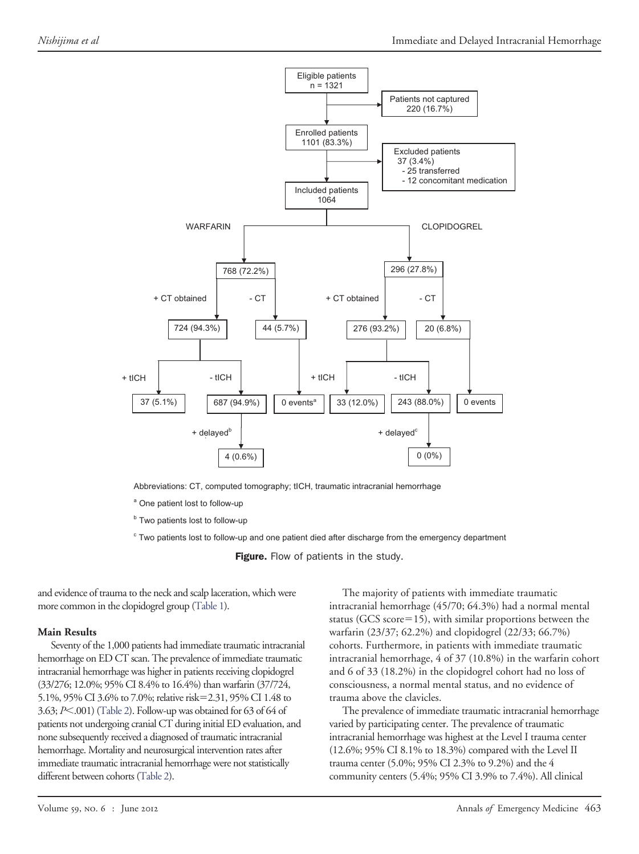

Abbreviations: CT, computed tomography; tICH, traumatic intracranial hemorrhage

<sup>a</sup> One patient lost to follow-up

<sup>b</sup> Two patients lost to follow-up

<sup>c</sup> Two patients lost to follow-up and one patient died after discharge from the emergency department

<span id="page-3-0"></span>Figure. Flow of patients in the study.

and evidence of trauma to the neck and scalp laceration, which were more common in the clopidogrel group [\(Table 1\)](#page-4-0).

#### **Main Results**

Seventy of the 1,000 patients had immediate traumatic intracranial hemorrhage on ED CT scan. The prevalence of immediate traumatic intracranial hemorrhage was higher in patients receiving clopidogrel (33/276; 12.0%; 95% CI 8.4% to 16.4%) than warfarin (37/724, 5.1%, 95% CI 3.6% to 7.0%; relative risk=2.31, 95% CI 1.48 to 3.63; *P*-.001) [\(Table 2\)](#page-5-0). Follow-up was obtained for 63 of 64 of patients not undergoing cranial CT during initial ED evaluation, and none subsequently received a diagnosed of traumatic intracranial hemorrhage. Mortality and neurosurgical intervention rates after immediate traumatic intracranial hemorrhage were not statistically different between cohorts [\(Table 2\)](#page-5-0).

The majority of patients with immediate traumatic intracranial hemorrhage (45/70; 64.3%) had a normal mental status (GCS score=15), with similar proportions between the warfarin (23/37; 62.2%) and clopidogrel (22/33; 66.7%) cohorts. Furthermore, in patients with immediate traumatic intracranial hemorrhage, 4 of 37 (10.8%) in the warfarin cohort and 6 of 33 (18.2%) in the clopidogrel cohort had no loss of consciousness, a normal mental status, and no evidence of trauma above the clavicles.

The prevalence of immediate traumatic intracranial hemorrhage varied by participating center. The prevalence of traumatic intracranial hemorrhage was highest at the Level I trauma center (12.6%; 95% CI 8.1% to 18.3%) compared with the Level II trauma center (5.0%; 95% CI 2.3% to 9.2%) and the 4 community centers (5.4%; 95% CI 3.9% to 7.4%). All clinical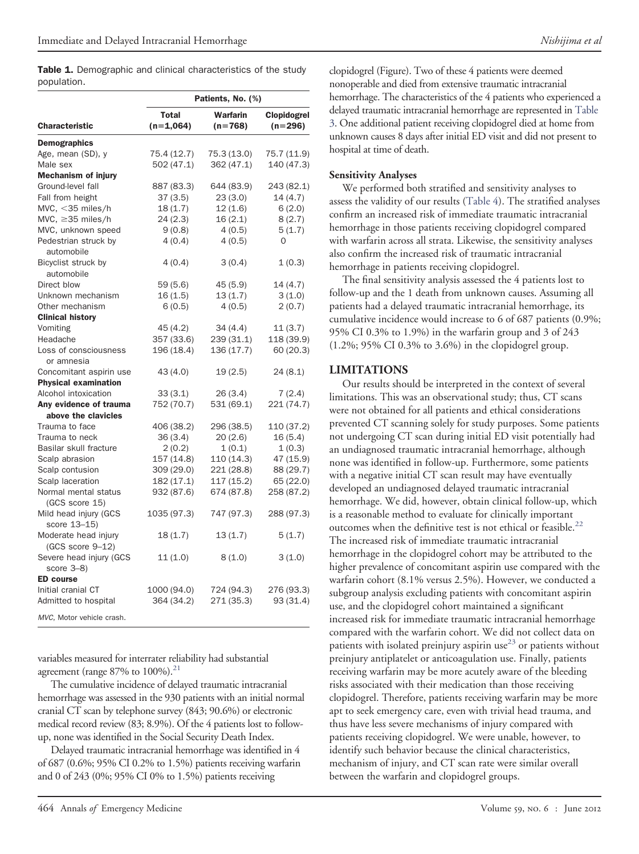<span id="page-4-0"></span>Table 1. Demographic and clinical characteristics of the study population.

|                                                        | Patients, No. (%)           |                          |                          |  |  |  |
|--------------------------------------------------------|-----------------------------|--------------------------|--------------------------|--|--|--|
| <b>Characteristic</b>                                  | <b>Total</b><br>$(n=1,064)$ | Warfarin<br>$(n=768)$    | Clopidogrel<br>$(n=296)$ |  |  |  |
| <b>Demographics</b>                                    |                             |                          |                          |  |  |  |
| Age, mean (SD), y                                      | 75.4 (12.7)                 | 75.3 (13.0)              | 75.7 (11.9)              |  |  |  |
| Male sex                                               | 502 (47.1)                  | 362 (47.1)               | 140 (47.3)               |  |  |  |
| <b>Mechanism of injury</b>                             |                             |                          |                          |  |  |  |
| Ground-level fall                                      | 887 (83.3)                  | 644 (83.9)               | 243 (82.1)               |  |  |  |
| Fall from height                                       | 37(3.5)                     | 23(3.0)                  | 14(4.7)                  |  |  |  |
| MVC, $<$ 35 miles/h                                    | 18(1.7)                     | 12(1.6)                  | 6(2.0)                   |  |  |  |
| MVC, $\geq$ 35 miles/h                                 | 24(2.3)                     | 16(2.1)                  | 8(2.7)                   |  |  |  |
| MVC, unknown speed                                     | 9(0.8)                      | 4(0.5)                   | 5(1.7)                   |  |  |  |
| Pedestrian struck by<br>automobile                     | 4(0.4)                      | 4(0.5)                   | $\mathbf 0$              |  |  |  |
| Bicyclist struck by<br>automobile                      | 4(0.4)                      | 3(0.4)                   | 1(0.3)                   |  |  |  |
| Direct blow                                            | 59(5.6)                     | 45 (5.9)                 | 14 (4.7)                 |  |  |  |
| Unknown mechanism                                      | 16(1.5)                     | 13(1.7)                  | 3(1.0)                   |  |  |  |
| Other mechanism                                        | 6(0.5)                      | 4(0.5)                   | 2(0.7)                   |  |  |  |
| <b>Clinical history</b>                                |                             |                          |                          |  |  |  |
| Vomiting                                               | 45(4.2)                     |                          |                          |  |  |  |
| Headache                                               | 357 (33.6)                  | 34 (4.4)<br>239 (31.1)   | 11 (3.7)<br>118 (39.9)   |  |  |  |
| Loss of consciousness                                  |                             |                          |                          |  |  |  |
| or amnesia                                             | 196 (18.4)                  | 136 (17.7)               | 60 (20.3)                |  |  |  |
|                                                        |                             |                          |                          |  |  |  |
| Concomitant aspirin use<br><b>Physical examination</b> | 43 (4.0)                    | 19(2.5)                  | 24 (8.1)                 |  |  |  |
| Alcohol intoxication                                   | 33(3.1)                     | 26(3.4)                  |                          |  |  |  |
| Anv evidence of trauma                                 | 752 (70.7)                  |                          | 7(2.4)                   |  |  |  |
| above the clavicles                                    |                             | 531 (69.1)               | 221 (74.7)               |  |  |  |
| Trauma to face                                         | 406 (38.2)                  | 296 (38.5)               | 110 (37.2)               |  |  |  |
| Trauma to neck                                         | 36(3.4)                     | 20(2.6)                  | 16(5.4)                  |  |  |  |
| Basilar skull fracture                                 | 2(0.2)                      | 1(0.1)                   | 1(0.3)                   |  |  |  |
|                                                        |                             |                          |                          |  |  |  |
| Scalp abrasion                                         | 157 (14.8)                  | 110 (14.3)               | 47 (15.9)                |  |  |  |
| Scalp contusion<br>Scalp laceration                    | 309 (29.0)<br>182 (17.1)    | 221 (28.8)<br>117 (15.2) | 88 (29.7)                |  |  |  |
| Normal mental status                                   |                             |                          | 65 (22.0)                |  |  |  |
| (GCS score 15)                                         | 932 (87.6)                  | 674 (87.8)               | 258 (87.2)               |  |  |  |
| Mild head injury (GCS<br>score 13-15)                  | 1035 (97.3)                 | 747 (97.3)               | 288 (97.3)               |  |  |  |
| Moderate head injury<br>$(GCS score 9-12)$             | 18(1.7)                     | 13(1.7)                  | 5(1.7)                   |  |  |  |
| Severe head injury (GCS<br>score $3-8$ )               | 11(1.0)                     | 8(1.0)                   | 3(1.0)                   |  |  |  |
| <b>ED</b> course                                       |                             |                          |                          |  |  |  |
| Initial cranial CT                                     | 1000 (94.0)                 | 724 (94.3)               | 276 (93.3)               |  |  |  |
| Admitted to hospital                                   | 364 (34.2)                  | 271 (35.3)               | 93 (31.4)                |  |  |  |
| MVC, Motor vehicle crash.                              |                             |                          |                          |  |  |  |

variables measured for interrater reliability had substantial agreement (range 87% to  $100\%$ ).<sup>21</sup>

The cumulative incidence of delayed traumatic intracranial hemorrhage was assessed in the 930 patients with an initial normal cranial CT scan by telephone survey (843; 90.6%) or electronic medical record review (83; 8.9%). Of the 4 patients lost to followup, none was identified in the Social Security Death Index.

Delayed traumatic intracranial hemorrhage was identified in 4 of 687 (0.6%; 95% CI 0.2% to 1.5%) patients receiving warfarin and 0 of 243 (0%; 95% CI 0% to 1.5%) patients receiving

clopidogrel (Figure). Two of these 4 patients were deemed nonoperable and died from extensive traumatic intracranial hemorrhage. The characteristics of the 4 patients who experienced a delayed traumatic intracranial hemorrhage are represented in [Table](#page-5-1) [3.](#page-5-1) One additional patient receiving clopidogrel died at home from unknown causes 8 days after initial ED visit and did not present to hospital at time of death.

#### **Sensitivity Analyses**

We performed both stratified and sensitivity analyses to assess the validity of our results [\(Table 4\)](#page-6-0). The stratified analyses confirm an increased risk of immediate traumatic intracranial hemorrhage in those patients receiving clopidogrel compared with warfarin across all strata. Likewise, the sensitivity analyses also confirm the increased risk of traumatic intracranial hemorrhage in patients receiving clopidogrel.

The final sensitivity analysis assessed the 4 patients lost to follow-up and the 1 death from unknown causes. Assuming all patients had a delayed traumatic intracranial hemorrhage, its cumulative incidence would increase to 6 of 687 patients (0.9%; 95% CI 0.3% to 1.9%) in the warfarin group and 3 of 243 (1.2%; 95% CI 0.3% to 3.6%) in the clopidogrel group.

#### **LIMITATIONS**

Our results should be interpreted in the context of several limitations. This was an observational study; thus, CT scans were not obtained for all patients and ethical considerations prevented CT scanning solely for study purposes. Some patients not undergoing CT scan during initial ED visit potentially had an undiagnosed traumatic intracranial hemorrhage, although none was identified in follow-up. Furthermore, some patients with a negative initial CT scan result may have eventually developed an undiagnosed delayed traumatic intracranial hemorrhage. We did, however, obtain clinical follow-up, which is a reasonable method to evaluate for clinically important outcomes when the definitive test is not ethical or feasible. $^{22}$  $^{22}$  $^{22}$ The increased risk of immediate traumatic intracranial hemorrhage in the clopidogrel cohort may be attributed to the higher prevalence of concomitant aspirin use compared with the warfarin cohort (8.1% versus 2.5%). However, we conducted a subgroup analysis excluding patients with concomitant aspirin use, and the clopidogrel cohort maintained a significant increased risk for immediate traumatic intracranial hemorrhage compared with the warfarin cohort. We did not collect data on patients with isolated preinjury aspirin use $^{23}$  $^{23}$  $^{23}$  or patients without preinjury antiplatelet or anticoagulation use. Finally, patients receiving warfarin may be more acutely aware of the bleeding risks associated with their medication than those receiving clopidogrel. Therefore, patients receiving warfarin may be more apt to seek emergency care, even with trivial head trauma, and thus have less severe mechanisms of injury compared with patients receiving clopidogrel. We were unable, however, to identify such behavior because the clinical characteristics, mechanism of injury, and CT scan rate were similar overall between the warfarin and clopidogrel groups.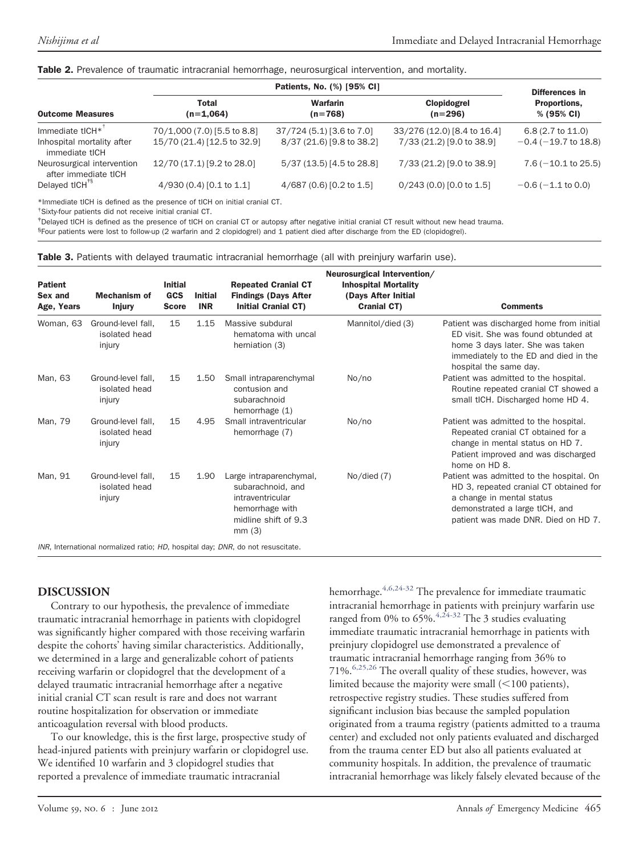#### <span id="page-5-0"></span>Table 2. Prevalence of traumatic intracranial hemorrhage, neurosurgical intervention, and mortality.

|                                                    |                             | Differences in               |                             |                             |  |
|----------------------------------------------------|-----------------------------|------------------------------|-----------------------------|-----------------------------|--|
| <b>Outcome Measures</b>                            | <b>Total</b><br>$(n=1,064)$ | <b>Warfarin</b><br>$(n=768)$ | Clopidogrel<br>$(n=296)$    | Proportions,<br>% (95% CI)  |  |
| Immediate tICH*                                    | 70/1,000 (7.0) [5.5 to 8.8] | 37/724 (5.1) [3.6 to 7.0]    | 33/276 (12.0) [8.4 to 16.4] | $6.8(2.7 \text{ to } 11.0)$ |  |
| Inhospital mortality after<br>immediate tICH       | 15/70 (21.4) [12.5 to 32.9] | 8/37 (21.6) [9.8 to 38.2]    | 7/33 (21.2) [9.0 to 38.9]   | $-0.4$ ( $-19.7$ to 18.8)   |  |
| Neurosurgical intervention<br>after immediate tICH | 12/70 (17.1) [9.2 to 28.0]  | 5/37 (13.5) [4.5 to 28.8]    | 7/33 (21.2) [9.0 to 38.9]   | $7.6(-10.1$ to 25.5)        |  |
| Delayed tlCH <sup>+§</sup>                         | 4/930 (0.4) [0.1 to 1.1]    | 4/687 (0.6) [0.2 to 1.5]     | $0/243(0.0)$ [0.0 to 1.5]   | $-0.6$ ( $-1.1$ to 0.0)     |  |

\*Immediate tICH is defined as the presence of tICH on initial cranial CT.

† Sixty-four patients did not receive initial cranial CT.

‡ Delayed tICH is defined as the presence of tICH on cranial CT or autopsy after negative initial cranial CT result without new head trauma.

§Four patients were lost to follow-up (2 warfarin and 2 clopidogrel) and 1 patient died after discharge from the ED (clopidogrel).

<span id="page-5-1"></span>

|  |  |  |  |  |  | Table 3. Patients with delayed traumatic intracranial hemorrhage (all with preinjury warfarin use). |  |  |  |  |  |  |
|--|--|--|--|--|--|-----------------------------------------------------------------------------------------------------|--|--|--|--|--|--|
|--|--|--|--|--|--|-----------------------------------------------------------------------------------------------------|--|--|--|--|--|--|

| <b>Patient</b><br>Sex and<br>Age, Years | <b>Mechanism of</b><br><b>Injury</b>          | <b>Initial</b><br><b>GCS</b><br><b>Score</b> | <b>Initial</b><br><b>INR</b> | <b>Repeated Cranial CT</b><br><b>Findings (Days After</b><br><b>Initial Cranial CT)</b>                              | Neurosurgical Intervention/<br><b>Inhospital Mortality</b><br>(Days After Initial<br><b>Cranial CT)</b> | <b>Comments</b>                                                                                                                                                                          |
|-----------------------------------------|-----------------------------------------------|----------------------------------------------|------------------------------|----------------------------------------------------------------------------------------------------------------------|---------------------------------------------------------------------------------------------------------|------------------------------------------------------------------------------------------------------------------------------------------------------------------------------------------|
| Woman, 63                               | Ground-level fall.<br>isolated head<br>injury | 15                                           | 1.15                         | Massive subdural<br>hematoma with uncal<br>herniation (3)                                                            | Mannitol/died (3)                                                                                       | Patient was discharged home from initial<br>ED visit. She was found obtunded at<br>home 3 days later. She was taken<br>immediately to the ED and died in the<br>hospital the same day.   |
| Man, 63                                 | Ground-level fall.<br>isolated head<br>injury | 15                                           | 1.50                         | Small intraparenchymal<br>contusion and<br>subarachnoid<br>hemorrhage (1)                                            | No/no                                                                                                   | Patient was admitted to the hospital.<br>Routine repeated cranial CT showed a<br>small tICH. Discharged home HD 4.                                                                       |
| Man, 79                                 | Ground-level fall.<br>isolated head<br>injury | 15                                           | 4.95                         | Small intraventricular<br>hemorrhage (7)                                                                             | No/no                                                                                                   | Patient was admitted to the hospital.<br>Repeated cranial CT obtained for a<br>change in mental status on HD 7.<br>Patient improved and was discharged<br>home on HD 8.                  |
| Man, 91                                 | Ground-level fall.<br>isolated head<br>injury | 15                                           | 1.90                         | Large intraparenchymal,<br>subarachnoid, and<br>intraventricular<br>hemorrhage with<br>midline shift of 9.3<br>mm(3) | $No$ /died $(7)$                                                                                        | Patient was admitted to the hospital. On<br>HD 3, repeated cranial CT obtained for<br>a change in mental status<br>demonstrated a large tICH, and<br>patient was made DNR. Died on HD 7. |
|                                         |                                               |                                              |                              | INR, International normalized ratio; HD, hospital day; DNR, do not resuscitate.                                      |                                                                                                         |                                                                                                                                                                                          |

#### **DISCUSSION**

Contrary to our hypothesis, the prevalence of immediate traumatic intracranial hemorrhage in patients with clopidogrel was significantly higher compared with those receiving warfarin despite the cohorts' having similar characteristics. Additionally, we determined in a large and generalizable cohort of patients receiving warfarin or clopidogrel that the development of a delayed traumatic intracranial hemorrhage after a negative initial cranial CT scan result is rare and does not warrant routine hospitalization for observation or immediate anticoagulation reversal with blood products.

To our knowledge, this is the first large, prospective study of head-injured patients with preinjury warfarin or clopidogrel use. We identified 10 warfarin and 3 clopidogrel studies that reported a prevalence of immediate traumatic intracranial

hemorrhage.  $4,6,24$ -32 The prevalence for immediate traumatic intracranial hemorrhage in patients with preinjury warfarin use ranged from 0% to  $65\%$ .  $4.24-32$  The 3 studies evaluating immediate traumatic intracranial hemorrhage in patients with preinjury clopidogrel use demonstrated a prevalence of traumatic intracranial hemorrhage ranging from 36% to 71%.[6,25,26](#page-7-6) The overall quality of these studies, however, was limited because the majority were small  $(<$  100 patients), retrospective registry studies. These studies suffered from significant inclusion bias because the sampled population originated from a trauma registry (patients admitted to a trauma center) and excluded not only patients evaluated and discharged from the trauma center ED but also all patients evaluated at community hospitals. In addition, the prevalence of traumatic intracranial hemorrhage was likely falsely elevated because of the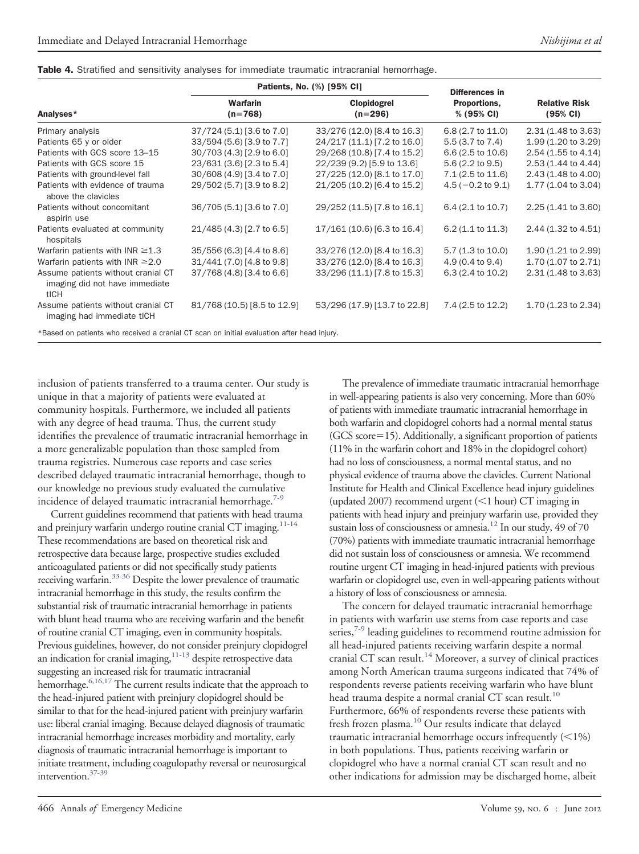<span id="page-6-0"></span>

|  |  | Table 4. Stratified and sensitivity analyses for immediate traumatic intracranial hemorrhage. |  |  |  |  |  |
|--|--|-----------------------------------------------------------------------------------------------|--|--|--|--|--|
|--|--|-----------------------------------------------------------------------------------------------|--|--|--|--|--|

|                                                                                            |                              | Patients, No. (%) [95% CI]   | Differences in              |                                            |  |
|--------------------------------------------------------------------------------------------|------------------------------|------------------------------|-----------------------------|--------------------------------------------|--|
| Analyses*                                                                                  | <b>Warfarin</b><br>$(n=768)$ | Clopidogrel<br>$(n=296)$     | Proportions,<br>% (95% CI)  | <b>Relative Risk</b><br>$(95% \text{ Cl})$ |  |
| Primary analysis                                                                           | 37/724 (5.1) [3.6 to 7.0]    | 33/276 (12.0) [8.4 to 16.3]  | 6.8 (2.7 to 11.0)           | 2.31 (1.48 to 3.63)                        |  |
| Patients 65 y or older                                                                     | 33/594 (5.6) [3.9 to 7.7]    | 24/217 (11.1) [7.2 to 16.0]  | $5.5(3.7)$ to $7.4$ )       | 1.99 (1.20 to 3.29)                        |  |
| Patients with GCS score 13-15                                                              | 30/703 (4.3) [2.9 to 6.0]    | 29/268 (10.8) [7.4 to 15.2]  | $6.6(2.5 \text{ to } 10.6)$ | 2.54 (1.55 to 4.14)                        |  |
| Patients with GCS score 15                                                                 | 23/631 (3.6) [2.3 to 5.4]    | 22/239 (9.2) [5.9 to 13.6]   | $5.6(2.2 \text{ to } 9.5)$  | 2.53 (1.44 to 4.44)                        |  |
| Patients with ground-level fall                                                            | 30/608 (4.9) [3.4 to 7.0]    | 27/225 (12.0) [8.1 to 17.0]  | $7.1(2.5 \text{ to } 11.6)$ | 2.43 (1.48 to 4.00)                        |  |
| Patients with evidence of trauma<br>above the clavicles                                    | 29/502 (5.7) [3.9 to 8.2]    | 21/205 (10.2) [6.4 to 15.2]  | $4.5(-0.2 \text{ to } 9.1)$ | 1.77 (1.04 to 3.04)                        |  |
| Patients without concomitant<br>aspirin use                                                | 36/705 (5.1) [3.6 to 7.0]    | 29/252 (11.5) [7.8 to 16.1]  | 6.4 (2.1 to 10.7)           | 2.25 (1.41 to 3.60)                        |  |
| Patients evaluated at community<br>hospitals                                               | 21/485 (4.3) [2.7 to 6.5]    | 17/161 (10.6) [6.3 to 16.4]  | $6.2(1.1 \text{ to } 11.3)$ | 2.44 (1.32 to 4.51)                        |  |
| Warfarin patients with INR $\geq$ 1.3                                                      | 35/556 (6.3) [4.4 to 8.6]    | 33/276 (12.0) [8.4 to 16.3]  | $5.7(1.3 \text{ to } 10.0)$ | 1.90 (1.21 to 2.99)                        |  |
| Warfarin patients with INR $\geq$ 2.0                                                      | 31/441 (7.0) [4.8 to 9.8]    | 33/276 (12.0) [8.4 to 16.3]  | $4.9(0.4 \text{ to } 9.4)$  | 1.70 (1.07 to 2.71)                        |  |
| Assume patients without cranial CT<br>imaging did not have immediate<br>tICH               | 37/768 (4.8) [3.4 to 6.6]    | 33/296 (11.1) [7.8 to 15.3]  | $6.3(2.4 \text{ to } 10.2)$ | 2.31 (1.48 to 3.63)                        |  |
| Assume patients without cranial CT<br>imaging had immediate tICH                           | 81/768 (10.5) [8.5 to 12.9]  | 53/296 (17.9) [13.7 to 22.8] | 7.4 (2.5 to 12.2)           | 1.70 (1.23 to 2.34)                        |  |
| *Based on patients who received a cranial CT scan on initial evaluation after head injury. |                              |                              |                             |                                            |  |

inclusion of patients transferred to a trauma center. Our study is unique in that a majority of patients were evaluated at community hospitals. Furthermore, we included all patients with any degree of head trauma. Thus, the current study identifies the prevalence of traumatic intracranial hemorrhage in a more generalizable population than those sampled from trauma registries. Numerous case reports and case series described delayed traumatic intracranial hemorrhage, though to our knowledge no previous study evaluated the cumulative incidence of delayed traumatic intracranial hemorrhage. $7-9$ 

Current guidelines recommend that patients with head trauma and preinjury warfarin undergo routine cranial CT imaging.<sup>11-14</sup> These recommendations are based on theoretical risk and retrospective data because large, prospective studies excluded anticoagulated patients or did not specifically study patients receiving warfarin.<sup>33-36</sup> Despite the lower prevalence of traumatic intracranial hemorrhage in this study, the results confirm the substantial risk of traumatic intracranial hemorrhage in patients with blunt head trauma who are receiving warfarin and the benefit of routine cranial CT imaging, even in community hospitals. Previous guidelines, however, do not consider preinjury clopidogrel an indication for cranial imaging, $11-13$  despite retrospective data suggesting an increased risk for traumatic intracranial hemorrhage.<sup>6,16,17</sup> The current results indicate that the approach to the head-injured patient with preinjury clopidogrel should be similar to that for the head-injured patient with preinjury warfarin use: liberal cranial imaging. Because delayed diagnosis of traumatic intracranial hemorrhage increases morbidity and mortality, early diagnosis of traumatic intracranial hemorrhage is important to initiate treatment, including coagulopathy reversal or neurosurgical intervention[.37-39](#page-8-5)

The prevalence of immediate traumatic intracranial hemorrhage in well-appearing patients is also very concerning. More than 60% of patients with immediate traumatic intracranial hemorrhage in both warfarin and clopidogrel cohorts had a normal mental status  $(GCS score=15)$ . Additionally, a significant proportion of patients (11% in the warfarin cohort and 18% in the clopidogrel cohort) had no loss of consciousness, a normal mental status, and no physical evidence of trauma above the clavicles. Current National Institute for Health and Clinical Excellence head injury guidelines (updated 2007) recommend urgent  $(<$  1 hour) CT imaging in patients with head injury and preinjury warfarin use, provided they sustain loss of consciousness or amnesia.<sup>12</sup> In our study, 49 of 70 (70%) patients with immediate traumatic intracranial hemorrhage did not sustain loss of consciousness or amnesia. We recommend routine urgent CT imaging in head-injured patients with previous warfarin or clopidogrel use, even in well-appearing patients without a history of loss of consciousness or amnesia.

The concern for delayed traumatic intracranial hemorrhage in patients with warfarin use stems from case reports and case series, $7-9$  leading guidelines to recommend routine admission for all head-injured patients receiving warfarin despite a normal cranial CT scan result.<sup>[14](#page-7-9)</sup> Moreover, a survey of clinical practices among North American trauma surgeons indicated that 74% of respondents reverse patients receiving warfarin who have blunt head trauma despite a normal cranial CT scan result.<sup>[10](#page-7-3)</sup> Furthermore, 66% of respondents reverse these patients with fresh frozen plasma. $10$  Our results indicate that delayed traumatic intracranial hemorrhage occurs infrequently  $(<$ 1%) in both populations. Thus, patients receiving warfarin or clopidogrel who have a normal cranial CT scan result and no other indications for admission may be discharged home, albeit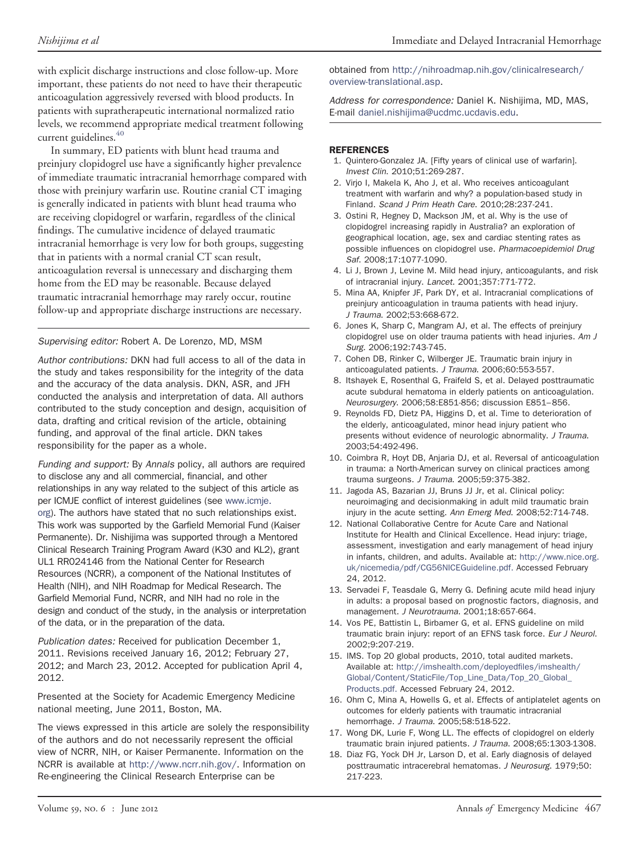with explicit discharge instructions and close follow-up. More important, these patients do not need to have their therapeutic anticoagulation aggressively reversed with blood products. In patients with supratherapeutic international normalized ratio levels, we recommend appropriate medical treatment following current guidelines.<sup>[40](#page-8-6)</sup>

In summary, ED patients with blunt head trauma and preinjury clopidogrel use have a significantly higher prevalence of immediate traumatic intracranial hemorrhage compared with those with preinjury warfarin use. Routine cranial CT imaging is generally indicated in patients with blunt head trauma who are receiving clopidogrel or warfarin, regardless of the clinical findings. The cumulative incidence of delayed traumatic intracranial hemorrhage is very low for both groups, suggesting that in patients with a normal cranial CT scan result, anticoagulation reversal is unnecessary and discharging them home from the ED may be reasonable. Because delayed traumatic intracranial hemorrhage may rarely occur, routine follow-up and appropriate discharge instructions are necessary.

#### *Supervising editor:* Robert A. De Lorenzo, MD, MSM

*Author contributions:* DKN had full access to all of the data in the study and takes responsibility for the integrity of the data and the accuracy of the data analysis. DKN, ASR, and JFH conducted the analysis and interpretation of data. All authors contributed to the study conception and design, acquisition of data, drafting and critical revision of the article, obtaining funding, and approval of the final article. DKN takes responsibility for the paper as a whole.

*Funding and support:* By *Annals* policy, all authors are required to disclose any and all commercial, financial, and other relationships in any way related to the subject of this article as per ICMJE conflict of interest guidelines (see [www.icmje.](http://www.icmje.org) [org\)](http://www.icmje.org). The authors have stated that no such relationships exist. This work was supported by the Garfield Memorial Fund (Kaiser Permanente). Dr. Nishijima was supported through a Mentored Clinical Research Training Program Award (K30 and KL2), grant UL1 RR024146 from the National Center for Research Resources (NCRR), a component of the National Institutes of Health (NIH), and NIH Roadmap for Medical Research. The Garfield Memorial Fund, NCRR, and NIH had no role in the design and conduct of the study, in the analysis or interpretation of the data, or in the preparation of the data.

*Publication dates:* Received for publication December 1, 2011. Revisions received January 16, 2012; February 27, 2012; and March 23, 2012. Accepted for publication April 4, 2012.

Presented at the Society for Academic Emergency Medicine national meeting, June 2011, Boston, MA.

The views expressed in this article are solely the responsibility of the authors and do not necessarily represent the official view of NCRR, NIH, or Kaiser Permanente. Information on the NCRR is available at [http://www.ncrr.nih.gov/.](http://www.ncrr.nih.gov/) Information on Re-engineering the Clinical Research Enterprise can be

obtained from [http://nihroadmap.nih.gov/clinicalresearch/](http://nihroadmap.nih.gov/clinicalresearch/overview-translational.asp) [overview-translational.asp.](http://nihroadmap.nih.gov/clinicalresearch/overview-translational.asp)

*Address for correspondence:* Daniel K. Nishijima, MD, MAS, E-mail [daniel.nishijima@ucdmc.ucdavis.edu.](mailto:daniel.nishijima@ucdmc.ucdavis.edu)

#### <span id="page-7-0"></span>**REFERENCES**

- 1. Quintero-Gonzalez JA. [Fifty years of clinical use of warfarin]. *Invest Clin*. 2010;51:269-287.
- <span id="page-7-10"></span>2. Virjo I, Makela K, Aho J, et al. Who receives anticoagulant treatment with warfarin and why? a population-based study in Finland. *Scand J Prim Heath Care*. 2010;28:237-241.
- <span id="page-7-11"></span>3. Ostini R, Hegney D, Mackson JM, et al. Why is the use of clopidogrel increasing rapidly in Australia? an exploration of geographical location, age, sex and cardiac stenting rates as possible influences on clopidogrel use. *Pharmacoepidemiol Drug Saf*. 2008;17:1077-1090.
- <span id="page-7-1"></span>4. Li J, Brown J, Levine M. Mild head injury, anticoagulants, and risk of intracranial injury. *Lancet*. 2001;357:771-772.
- 5. Mina AA, Knipfer JF, Park DY, et al. Intracranial complications of preinjury anticoagulation in trauma patients with head injury. *J Trauma*. 2002;53:668-672.
- <span id="page-7-6"></span>6. Jones K, Sharp C, Mangram AJ, et al. The effects of preinjury clopidogrel use on older trauma patients with head injuries. *Am J Surg*. 2006;192:743-745.
- <span id="page-7-7"></span><span id="page-7-2"></span>7. Cohen DB, Rinker C, Wilberger JE. Traumatic brain injury in anticoagulated patients. *J Trauma*. 2006;60:553-557.
- 8. Itshayek E, Rosenthal G, Fraifeld S, et al. Delayed posttraumatic acute subdural hematoma in elderly patients on anticoagulation. *Neurosurgery*. 2006;58:E851-856; discussion E851– 856.
- 9. Reynolds FD, Dietz PA, Higgins D, et al. Time to deterioration of the elderly, anticoagulated, minor head injury patient who presents without evidence of neurologic abnormality. *J Trauma*. 2003;54:492-496.
- <span id="page-7-3"></span>10. Coimbra R, Hoyt DB, Anjaria DJ, et al. Reversal of anticoagulation in trauma: a North-American survey on clinical practices among trauma surgeons. *J Trauma*. 2005;59:375-382.
- <span id="page-7-4"></span>11. Jagoda AS, Bazarian JJ, Bruns JJ Jr, et al. Clinical policy: neuroimaging and decisionmaking in adult mild traumatic brain injury in the acute setting. *Ann Emerg Med*. 2008;52:714-748.
- <span id="page-7-8"></span>12. National Collaborative Centre for Acute Care and National Institute for Health and Clinical Excellence. Head injury: triage, assessment, investigation and early management of head injury in infants, children, and adults. Available at: [http://www.nice.org.](http://www.nice.org.uk/nicemedia/pdf/CG56NICEGuideline.pdf) [uk/nicemedia/pdf/CG56NICEGuideline.pdf.](http://www.nice.org.uk/nicemedia/pdf/CG56NICEGuideline.pdf) Accessed February 24, 2012.
- 13. Servadei F, Teasdale G, Merry G. Defining acute mild head injury in adults: a proposal based on prognostic factors, diagnosis, and management. *J Neurotrauma*. 2001;18:657-664.
- <span id="page-7-9"></span>14. Vos PE, Battistin L, Birbamer G, et al. EFNS guideline on mild traumatic brain injury: report of an EFNS task force. *Eur J Neurol*. 2002;9:207-219.
- <span id="page-7-5"></span>15. IMS. Top 20 global products, 2010, total audited markets. Available at: [http://imshealth.com/deployedfiles/imshealth/](http://imshealth.com/deployedfiles/imshealth/Global/Content/StaticFile/Top_Line_Data/Top_20_Global_Products.pdf) [Global/Content/StaticFile/Top\\_Line\\_Data/Top\\_20\\_Global\\_](http://imshealth.com/deployedfiles/imshealth/Global/Content/StaticFile/Top_Line_Data/Top_20_Global_Products.pdf) [Products.pdf.](http://imshealth.com/deployedfiles/imshealth/Global/Content/StaticFile/Top_Line_Data/Top_20_Global_Products.pdf) Accessed February 24, 2012.
- 16. Ohm C, Mina A, Howells G, et al. Effects of antiplatelet agents on outcomes for elderly patients with traumatic intracranial hemorrhage. *J Trauma*. 2005;58:518-522.
- 17. Wong DK, Lurie F, Wong LL. The effects of clopidogrel on elderly traumatic brain injured patients. *J Trauma*. 2008;65:1303-1308.
- 18. Diaz FG, Yock DH Jr, Larson D, et al. Early diagnosis of delayed posttraumatic intracerebral hematomas. *J Neurosurg*. 1979;50: 217-223.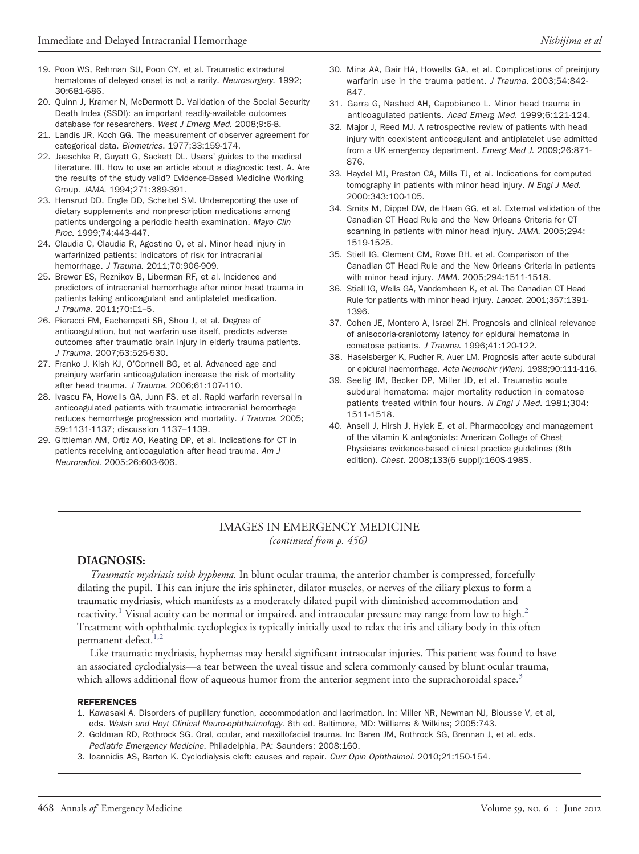- 19. Poon WS, Rehman SU, Poon CY, et al. Traumatic extradural hematoma of delayed onset is not a rarity. *Neurosurgery*. 1992; 30:681-686.
- <span id="page-8-0"></span>20. Quinn J, Kramer N, McDermott D. Validation of the Social Security Death Index (SSDI): an important readily-available outcomes database for researchers. *West J Emerg Med*. 2008;9:6-8.
- <span id="page-8-1"></span>21. Landis JR, Koch GG. The measurement of observer agreement for categorical data. *Biometrics*. 1977;33:159-174.
- <span id="page-8-2"></span>22. Jaeschke R, Guyatt G, Sackett DL. Users' guides to the medical literature. III. How to use an article about a diagnostic test. A. Are the results of the study valid? Evidence-Based Medicine Working Group. *JAMA*. 1994;271:389-391.
- <span id="page-8-3"></span>23. Hensrud DD, Engle DD, Scheitel SM. Underreporting the use of dietary supplements and nonprescription medications among patients undergoing a periodic health examination. *Mayo Clin Proc*. 1999;74:443-447.
- 24. Claudia C, Claudia R, Agostino O, et al. Minor head injury in warfarinized patients: indicators of risk for intracranial hemorrhage. *J Trauma*. 2011;70:906-909.
- 25. Brewer ES, Reznikov B, Liberman RF, et al. Incidence and predictors of intracranial hemorrhage after minor head trauma in patients taking anticoagulant and antiplatelet medication. *J Trauma*. 2011;70:E1–5.
- 26. Pieracci FM, Eachempati SR, Shou J, et al. Degree of anticoagulation, but not warfarin use itself, predicts adverse outcomes after traumatic brain injury in elderly trauma patients. *J Trauma*. 2007;63:525-530.
- 27. Franko J, Kish KJ, O'Connell BG, et al. Advanced age and preinjury warfarin anticoagulation increase the risk of mortality after head trauma. *J Trauma*. 2006;61:107-110.
- 28. Ivascu FA, Howells GA, Junn FS, et al. Rapid warfarin reversal in anticoagulated patients with traumatic intracranial hemorrhage reduces hemorrhage progression and mortality. *J Trauma*. 2005; 59:1131-1137; discussion 1137–1139.
- 29. Gittleman AM, Ortiz AO, Keating DP, et al. Indications for CT in patients receiving anticoagulation after head trauma. *Am J Neuroradiol*. 2005;26:603-606.
- 30. Mina AA, Bair HA, Howells GA, et al. Complications of preinjury warfarin use in the trauma patient. *J Trauma*. 2003;54:842- 847.
- 31. Garra G, Nashed AH, Capobianco L. Minor head trauma in anticoagulated patients. *Acad Emerg Med*. 1999;6:121-124.
- 32. Major J, Reed MJ. A retrospective review of patients with head injury with coexistent anticoagulant and antiplatelet use admitted from a UK emergency department. *Emerg Med J*. 2009;26:871- 876.
- <span id="page-8-4"></span>33. Haydel MJ, Preston CA, Mills TJ, et al. Indications for computed tomography in patients with minor head injury. *N Engl J Med*. 2000;343:100-105.
- 34. Smits M, Dippel DW, de Haan GG, et al. External validation of the Canadian CT Head Rule and the New Orleans Criteria for CT scanning in patients with minor head injury. *JAMA*. 2005;294: 1519-1525.
- 35. Stiell IG, Clement CM, Rowe BH, et al. Comparison of the Canadian CT Head Rule and the New Orleans Criteria in patients with minor head injury. *JAMA*. 2005;294:1511-1518.
- 36. Stiell IG, Wells GA, Vandemheen K, et al. The Canadian CT Head Rule for patients with minor head injury. *Lancet*. 2001;357:1391- 1396.
- <span id="page-8-5"></span>37. Cohen JE, Montero A, Israel ZH. Prognosis and clinical relevance of anisocoria-craniotomy latency for epidural hematoma in comatose patients. *J Trauma*. 1996;41:120-122.
- 38. Haselsberger K, Pucher R, Auer LM. Prognosis after acute subdural or epidural haemorrhage. *Acta Neurochir (Wien)*. 1988;90:111-116.
- 39. Seelig JM, Becker DP, Miller JD, et al. Traumatic acute subdural hematoma: major mortality reduction in comatose patients treated within four hours. *N Engl J Med*. 1981;304: 1511-1518.
- <span id="page-8-6"></span>40. Ansell J, Hirsh J, Hylek E, et al. Pharmacology and management of the vitamin K antagonists: American College of Chest Physicians evidence-based clinical practice guidelines (8th edition). *Chest*. 2008;133(6 suppl):160S-198S.

### IMAGES IN EMERGENCY MEDICINE *(continued from p. 456)*

### **DIAGNOSIS:**

*Traumatic mydriasis with hyphema.* In blunt ocular trauma, the anterior chamber is compressed, forcefully dilating the pupil. This can injure the iris sphincter, dilator muscles, or nerves of the ciliary plexus to form a traumatic mydriasis, which manifests as a moderately dilated pupil with diminished accommodation and reactivity.<sup>[1](#page-7-0)</sup> Visual acuity can be normal or impaired, and intraocular pressure may range from low to high.<sup>[2](#page-7-10)</sup> Treatment with ophthalmic cycloplegics is typically initially used to relax the iris and ciliary body in this often permanent defect.<sup>[1,2](#page-7-0)</sup>

Like traumatic mydriasis, hyphemas may herald significant intraocular injuries. This patient was found to have an associated cyclodialysis—a tear between the uveal tissue and sclera commonly caused by blunt ocular trauma, which allows additional flow of aqueous humor from the anterior segment into the suprachoroidal space.<sup>[3](#page-7-11)</sup>

#### **REFERENCES**

- 1. Kawasaki A. Disorders of pupillary function, accommodation and lacrimation. In: Miller NR, Newman NJ, Biousse V, et al, eds. *Walsh and Hoyt Clinical Neuro-ophthalmology*. 6th ed. Baltimore, MD: Williams & Wilkins; 2005:743.
- 2. Goldman RD, Rothrock SG. Oral, ocular, and maxillofacial trauma. In: Baren JM, Rothrock SG, Brennan J, et al, eds. *Pediatric Emergency Medicine*. Philadelphia, PA: Saunders; 2008:160.
- 3. Ioannidis AS, Barton K. Cyclodialysis cleft: causes and repair. *Curr Opin Ophthalmol*. 2010;21:150-154.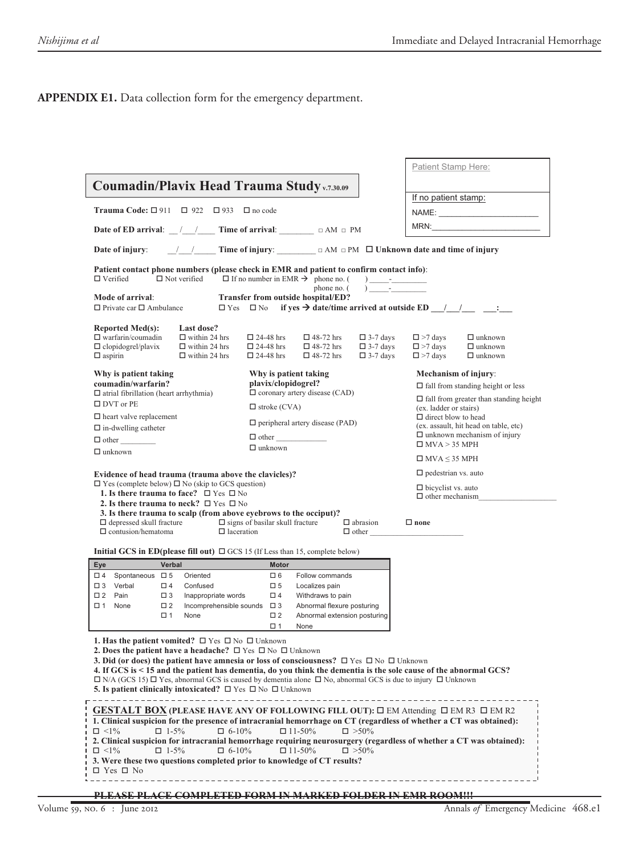### **APPENDIX E1.** Data collection form for the emergency department.

|                                                                                                                                                                                                                                                      | Patient Stamp Here:                                                                                                                                                                                                           |
|------------------------------------------------------------------------------------------------------------------------------------------------------------------------------------------------------------------------------------------------------|-------------------------------------------------------------------------------------------------------------------------------------------------------------------------------------------------------------------------------|
| Coumadin/Plavix Head Trauma Study v.7.30.09                                                                                                                                                                                                          |                                                                                                                                                                                                                               |
|                                                                                                                                                                                                                                                      | If no patient stamp:                                                                                                                                                                                                          |
| Trauma Code: $\Box$ 911 $\Box$ 922 $\Box$ 933<br>$\Box$ no code                                                                                                                                                                                      |                                                                                                                                                                                                                               |
| Date of ED arrival: $\angle$ / Time of arrival: $\Box$ $\Box$ AM $\Box$ PM                                                                                                                                                                           | MRN: WELL ARE A CONTROL TO A CONTROL TO A CONTROL TO A CONTROL TO A CONTROL TO A CONTROL TO A CONTROL TO A CONTROL TO A CONTROL TO A CONTROL TO A CONTROL TO A CONTROL TO A CONTROL TO A CONTROL TO A CONTROL TO A CONTROL TO |
| Date of injury:                                                                                                                                                                                                                                      |                                                                                                                                                                                                                               |
| Patient contact phone numbers (please check in EMR and patient to confirm contact info):<br>$\Box$ Verified<br>$\Box$ Not verified<br>$\Box$ If no number in EMR $\rightarrow$ phone no. (                                                           |                                                                                                                                                                                                                               |
| phone no. (<br>Mode of arrival:<br>Transfer from outside hospital/ED?<br>$\Box$ Private car $\Box$ Ambulance<br>$\Box$ Yes $\Box$ No                                                                                                                 |                                                                                                                                                                                                                               |
| <b>Reported Med(s):</b><br>Last dose?                                                                                                                                                                                                                |                                                                                                                                                                                                                               |
| $\Box$ warfarin/coumadin<br>$\Box$ within 24 hrs<br>$\Box$ 24-48 hrs<br>$\Box$ 48-72 hrs<br>$\Box$ 3-7 days                                                                                                                                          | $\square$ >7 days<br>$\Box$ unknown                                                                                                                                                                                           |
| $\Box$ clopidogrel/plavix<br>$\Box$ within 24 hrs<br>$\square$ 24-48 hrs<br>$\Box$ 48-72 hrs<br>$\Box$ 3-7 days                                                                                                                                      | $\square$ >7 days<br>$\Box$ unknown                                                                                                                                                                                           |
| $\Box$ aspirin<br>$\Box$ within 24 hrs<br>$\Box$ 24-48 hrs<br>$\Box$ 3-7 days<br>$\Box$ 48-72 hrs                                                                                                                                                    | $\square$ >7 days<br>$\Box$ unknown                                                                                                                                                                                           |
| Why is patient taking<br>Why is patient taking                                                                                                                                                                                                       | Mechanism of injury:                                                                                                                                                                                                          |
| coumadin/warfarin?<br>plavix/clopidogrel?                                                                                                                                                                                                            | $\Box$ fall from standing height or less                                                                                                                                                                                      |
| $\Box$ coronary artery disease (CAD)<br>$\Box$ atrial fibrillation (heart arrhythmia)                                                                                                                                                                | $\Box$ fall from greater than standing height                                                                                                                                                                                 |
| $\square$ DVT or PE<br>$\Box$ stroke (CVA)                                                                                                                                                                                                           | (ex. ladder or stairs)                                                                                                                                                                                                        |
| $\Box$ heart valve replacement                                                                                                                                                                                                                       | $\Box$ direct blow to head                                                                                                                                                                                                    |
| $\Box$ peripheral artery disease (PAD)<br>$\Box$ in-dwelling catheter                                                                                                                                                                                | (ex. assault, hit head on table, etc)                                                                                                                                                                                         |
| $\Box$ other                                                                                                                                                                                                                                         | $\Box$ unknown mechanism of injury                                                                                                                                                                                            |
| $\Box$ unknown<br>$\Box$ unknown                                                                                                                                                                                                                     | $\Box$ MVA > 35 MPH                                                                                                                                                                                                           |
|                                                                                                                                                                                                                                                      | $\Box$ MVA $\leq$ 35 MPH                                                                                                                                                                                                      |
| Evidence of head trauma (trauma above the clavicles)?                                                                                                                                                                                                | $\Box$ pedestrian vs. auto                                                                                                                                                                                                    |
| $\Box$ Yes (complete below) $\Box$ No (skip to GCS question)                                                                                                                                                                                         | $\Box$ bicyclist vs. auto                                                                                                                                                                                                     |
| 1. Is there trauma to face? $\Box$ Yes $\Box$ No                                                                                                                                                                                                     | $\Box$ other mechanism                                                                                                                                                                                                        |
| 2. Is there trauma to neck? $\Box$ Yes $\Box$ No<br>3. Is there trauma to scalp (from above eyebrows to the occiput)?                                                                                                                                |                                                                                                                                                                                                                               |
| $\Box$ depressed skull fracture<br>$\Box$ signs of basilar skull fracture<br>$\Box$ abrasion<br>$\Box$ contusion/hematoma<br>$\Box$ laceration                                                                                                       | $\Box$ none<br>$\Box$ other                                                                                                                                                                                                   |
| <b>Initial GCS in ED(please fill out)</b> $\Box$ GCS 15 (If Less than 15, complete below)                                                                                                                                                            |                                                                                                                                                                                                                               |
| Eye<br>Verbal<br><b>Motor</b>                                                                                                                                                                                                                        |                                                                                                                                                                                                                               |
| □ 4 Spontaneous □ 5<br>Oriented<br>Follow commands<br>口 6                                                                                                                                                                                            |                                                                                                                                                                                                                               |
| □ 3 Verbal<br>$\Box$ 4<br>$\square$ 5<br>Confused<br>Localizes pain                                                                                                                                                                                  |                                                                                                                                                                                                                               |
| $\Box$ 2<br>Pain<br>$\Box$ 4<br>$\Box$ 3<br>Inappropriate words<br>Withdraws to pain                                                                                                                                                                 |                                                                                                                                                                                                                               |
| $\square$ 1<br>Incomprehensible sounds $\Box$ 3<br>None<br>$\square$ 2<br>Abnormal flexure posturing<br>$\square$ 2                                                                                                                                  |                                                                                                                                                                                                                               |
| Abnormal extension posturing<br>$\square$ 1<br>None                                                                                                                                                                                                  |                                                                                                                                                                                                                               |
| $\square$ 1<br>None                                                                                                                                                                                                                                  |                                                                                                                                                                                                                               |
| 1. Has the patient vomited? $\Box$ Yes $\Box$ No $\Box$ Unknown                                                                                                                                                                                      |                                                                                                                                                                                                                               |
| <b>2. Does the patient have a headache?</b> $\Box$ Yes $\Box$ No $\Box$ Unknown                                                                                                                                                                      |                                                                                                                                                                                                                               |
| <b>3. Did (or does) the patient have amnesia or loss of consciousness?</b> $\Box$ Yes $\Box$ No $\Box$ Unknown                                                                                                                                       |                                                                                                                                                                                                                               |
| 4. If GCS is < 15 and the patient has dementia, do you think the dementia is the sole cause of the abnormal GCS?<br>$\Box$ N/A (GCS 15) $\Box$ Yes, abnormal GCS is caused by dementia alone $\Box$ No, abnormal GCS is due to injury $\Box$ Unknown |                                                                                                                                                                                                                               |
| <b>5. Is patient clinically intoxicated?</b> $\Box$ Yes $\Box$ No $\Box$ Unknown                                                                                                                                                                     |                                                                                                                                                                                                                               |
| ------------------------------                                                                                                                                                                                                                       |                                                                                                                                                                                                                               |
| GESTALT BOX (PLEASE HAVE ANY OF FOLLOWING FILL OUT): $\square$ EM Attending $\square$ EM R3 $\square$ EM R2                                                                                                                                          |                                                                                                                                                                                                                               |
| 1. Clinical suspicion for the presence of intracranial hemorrhage on CT (regardless of whether a CT was obtained):                                                                                                                                   |                                                                                                                                                                                                                               |
| $\Box$ <1%<br>$\Box$ 1-5%<br>$\Box$ 6-10%<br>$\Box$ 11-50%<br>$\square > 50\%$                                                                                                                                                                       |                                                                                                                                                                                                                               |
|                                                                                                                                                                                                                                                      |                                                                                                                                                                                                                               |
| 2. Clinical suspicion for intracranial hemorrhage requiring neurosurgery (regardless of whether a CT was obtained):                                                                                                                                  |                                                                                                                                                                                                                               |
| $\Box$ <1%<br>$\Box$ 1-5%<br>$\Box$ 6-10%<br>$\Box$ 11-50%<br>$\square > 50\%$                                                                                                                                                                       |                                                                                                                                                                                                                               |
| 3. Were these two questions completed prior to knowledge of CT results?                                                                                                                                                                              |                                                                                                                                                                                                                               |
| $\Box$ Yes $\Box$ No                                                                                                                                                                                                                                 |                                                                                                                                                                                                                               |
|                                                                                                                                                                                                                                                      |                                                                                                                                                                                                                               |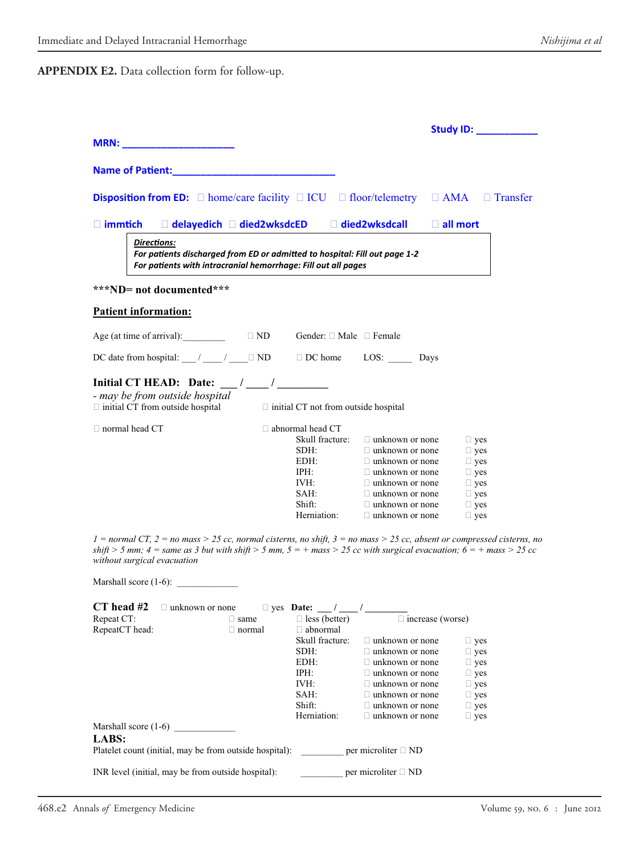**APPENDIX E2.** Data collection form for follow-up.

|                                                                                                                                                                                                                                     |                                                  | <b>Study ID:</b> ___________ |
|-------------------------------------------------------------------------------------------------------------------------------------------------------------------------------------------------------------------------------------|--------------------------------------------------|------------------------------|
| <b>MRN:</b> the contract of the contract of the contract of the contract of the contract of the contract of the contract of the contract of the contract of the contract of the contract of the contract of the contract of the con |                                                  |                              |
|                                                                                                                                                                                                                                     |                                                  |                              |
| Name of Patient: Name of Patient:                                                                                                                                                                                                   |                                                  |                              |
|                                                                                                                                                                                                                                     |                                                  |                              |
|                                                                                                                                                                                                                                     |                                                  |                              |
| <b>Disposition from ED:</b> $\Box$ home/care facility $\Box$ ICU $\Box$ floor/telemetry $\Box$ AMA $\Box$ Transfer                                                                                                                  |                                                  |                              |
|                                                                                                                                                                                                                                     |                                                  |                              |
| □ delayedich □ died2wksdcED □ died2wksdcall<br>$\Box$ immtich                                                                                                                                                                       | $\Box$ all mort                                  |                              |
|                                                                                                                                                                                                                                     |                                                  |                              |
| <b>Directions:</b>                                                                                                                                                                                                                  |                                                  |                              |
| For patients discharged from ED or admitted to hospital: Fill out page 1-2                                                                                                                                                          |                                                  |                              |
| For patients with intracranial hemorrhage: Fill out all pages                                                                                                                                                                       |                                                  |                              |
|                                                                                                                                                                                                                                     |                                                  |                              |
| ***ND= not documented***                                                                                                                                                                                                            |                                                  |                              |
| <b>Patient information:</b>                                                                                                                                                                                                         |                                                  |                              |
|                                                                                                                                                                                                                                     |                                                  |                              |
|                                                                                                                                                                                                                                     |                                                  |                              |
| Age (at time of arrival): $\Box$ ND<br>Gender: $\Box$ Male $\Box$ Female                                                                                                                                                            |                                                  |                              |
| DC date from hospital: $\angle$ / $\angle$ / $\Box$ ND $\Box$ DC home LOS: Days                                                                                                                                                     |                                                  |                              |
|                                                                                                                                                                                                                                     |                                                  |                              |
|                                                                                                                                                                                                                                     |                                                  |                              |
|                                                                                                                                                                                                                                     |                                                  |                              |
| - may be from outside hospital                                                                                                                                                                                                      |                                                  |                              |
| $\Box$ initial CT from outside hospital<br>$\Box$ initial CT not from outside hospital                                                                                                                                              |                                                  |                              |
|                                                                                                                                                                                                                                     |                                                  |                              |
| $\Box$ normal head CT<br>$\Box$ abnormal head CT                                                                                                                                                                                    |                                                  |                              |
| Skull fracture:                                                                                                                                                                                                                     | $\Box$ unknown or none                           | $\Box$ yes                   |
| SDH:                                                                                                                                                                                                                                | $\Box$ unknown or none                           | $\Box$ yes                   |
| EDH:                                                                                                                                                                                                                                | $\Box$ unknown or none                           | $\Box$ yes                   |
| IPH:<br>IVH:                                                                                                                                                                                                                        | $\Box$ unknown or none                           | $\Box$ yes                   |
| SAH:                                                                                                                                                                                                                                | $\Box$ unknown or none<br>$\Box$ unknown or none | $\Box$ yes<br>$\Box$ yes     |
| Shift:                                                                                                                                                                                                                              | $\Box$ unknown or none                           | $\Box$ yes                   |
| Herniation:                                                                                                                                                                                                                         | $\Box$ unknown or none                           | $\Box$ yes                   |
|                                                                                                                                                                                                                                     |                                                  |                              |
| $1 = normal CT$ , $2 = no$ mass > 25 cc, normal cisterns, no shift, $3 = no$ mass > 25 cc, absent or compressed cisterns, no                                                                                                        |                                                  |                              |
| shift > 5 mm; 4 = same as 3 but with shift > 5 mm, $5 = +$ mass > 25 cc with surgical evacuation; 6 = + mass > 25 cc                                                                                                                |                                                  |                              |
| without surgical evacuation                                                                                                                                                                                                         |                                                  |                              |
|                                                                                                                                                                                                                                     |                                                  |                              |
|                                                                                                                                                                                                                                     |                                                  |                              |
|                                                                                                                                                                                                                                     |                                                  |                              |
| CT head $#2$ $\Box$ unknown or none                                                                                                                                                                                                 |                                                  |                              |
| Repeat CT:<br>$\Box$ less (better)<br>$\Box$ same                                                                                                                                                                                   |                                                  |                              |
| RepeatCT head:<br>$\Box$ abnormal<br>$\Box$ normal                                                                                                                                                                                  | $\Box$ increase (worse)                          |                              |
| Skull fracture:                                                                                                                                                                                                                     | $\Box$ unknown or none                           | $\Box$ yes                   |
| SDH:                                                                                                                                                                                                                                | $\Box$ unknown or none                           | $\Box$ yes                   |
| EDH:                                                                                                                                                                                                                                | $\Box$ unknown or none                           | $\Box$ yes                   |
| IPH:                                                                                                                                                                                                                                | $\Box$ unknown or none                           | $\Box$ yes                   |
| IVH:                                                                                                                                                                                                                                | $\Box$ unknown or none                           | $\Box$ yes                   |
| SAH:                                                                                                                                                                                                                                | $\Box$ unknown or none                           | $\Box$ yes                   |
| Shift:                                                                                                                                                                                                                              | $\Box$ unknown or none                           | $\Box$ yes                   |
| Herniation:                                                                                                                                                                                                                         | $\Box$ unknown or none                           | $\Box$ yes                   |
| Marshall score $(1-6)$                                                                                                                                                                                                              |                                                  |                              |
| LABS:                                                                                                                                                                                                                               |                                                  |                              |
| Platelet count (initial, may be from outside hospital):                                                                                                                                                                             | per microliter $\Box$ ND                         |                              |
|                                                                                                                                                                                                                                     |                                                  |                              |
| INR level (initial, may be from outside hospital):                                                                                                                                                                                  | per microliter $\Box$ ND                         |                              |
|                                                                                                                                                                                                                                     |                                                  |                              |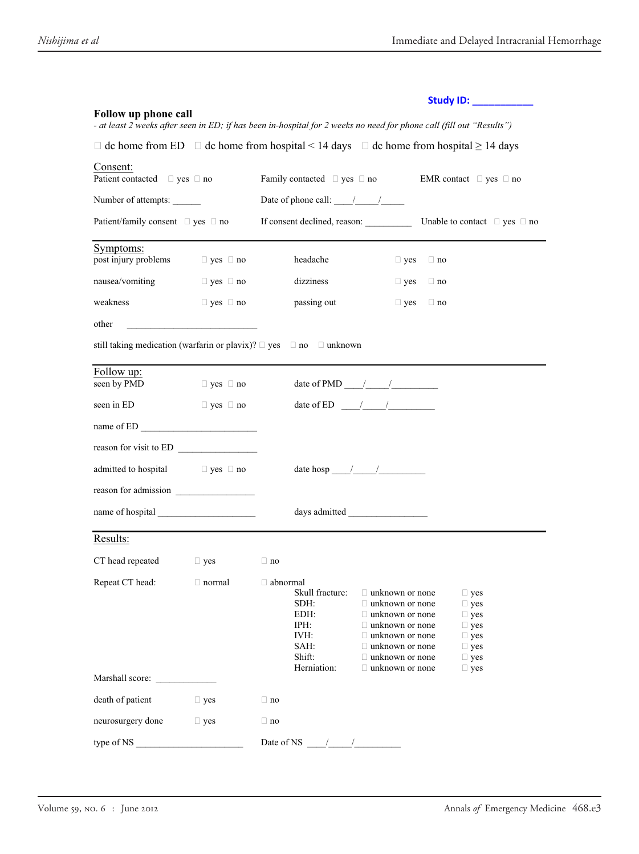|                                                    |                      | Study ID: ____________                                                                                                                                                                                                                                                                                                                                                                                           |
|----------------------------------------------------|----------------------|------------------------------------------------------------------------------------------------------------------------------------------------------------------------------------------------------------------------------------------------------------------------------------------------------------------------------------------------------------------------------------------------------------------|
| Follow up phone call                               |                      | - at least 2 weeks after seen in ED; if has been in-hospital for 2 weeks no need for phone call (fill out "Results")                                                                                                                                                                                                                                                                                             |
|                                                    |                      | $\Box$ dc home from ED $\Box$ dc home from hospital < 14 days $\Box$ dc home from hospital $\geq$ 14 days                                                                                                                                                                                                                                                                                                        |
| Consent:<br>Patient contacted $\Box$ yes $\Box$ no |                      | Family contacted $\Box$ yes $\Box$ no<br>EMR contact $\Box$ yes $\Box$ no                                                                                                                                                                                                                                                                                                                                        |
| Number of attempts:                                |                      | Date of phone call: $\frac{1}{\sqrt{1-\frac{1}{2}}}$                                                                                                                                                                                                                                                                                                                                                             |
| Patient/family consent $\Box$ yes $\Box$ no        |                      | If consent declined, reason:<br>Unable to contact $\Box$ yes $\Box$ no                                                                                                                                                                                                                                                                                                                                           |
| Symptoms:<br>post injury problems                  | $\Box$ yes $\Box$ no | headache<br>$\Box$ yes $\Box$ no                                                                                                                                                                                                                                                                                                                                                                                 |
| nausea/vomiting                                    | $\Box$ yes $\Box$ no | dizziness<br>$\Box$ yes<br>$\Box$ no                                                                                                                                                                                                                                                                                                                                                                             |
| weakness                                           | $\Box$ yes $\Box$ no | passing out<br>$\Box$ yes<br>$\Box$ no                                                                                                                                                                                                                                                                                                                                                                           |
| other                                              |                      |                                                                                                                                                                                                                                                                                                                                                                                                                  |
|                                                    |                      | still taking medication (warfarin or plavix)? $\Box$ yes $\Box$ no $\Box$ unknown                                                                                                                                                                                                                                                                                                                                |
| Follow up:<br>seen by PMD                          | $\Box$ yes $\Box$ no | date of PMD $\frac{\frac{1}{2} \frac{1}{2} \frac{1}{2} \frac{1}{2} \frac{1}{2} \frac{1}{2} \frac{1}{2} \frac{1}{2} \frac{1}{2} \frac{1}{2} \frac{1}{2} \frac{1}{2} \frac{1}{2} \frac{1}{2} \frac{1}{2} \frac{1}{2} \frac{1}{2} \frac{1}{2} \frac{1}{2} \frac{1}{2} \frac{1}{2} \frac{1}{2} \frac{1}{2} \frac{1}{2} \frac{1}{2} \frac{1}{2} \frac{1}{2} \frac{1}{2} \frac{1}{2} \frac{$                           |
| seen in ED                                         | $\Box$ yes $\Box$ no | date of ED $\frac{1}{\sqrt{2}}$                                                                                                                                                                                                                                                                                                                                                                                  |
|                                                    |                      |                                                                                                                                                                                                                                                                                                                                                                                                                  |
| reason for visit to ED                             |                      |                                                                                                                                                                                                                                                                                                                                                                                                                  |
| admitted to hospital $\Box$ yes $\Box$ no          |                      | date hosp $\frac{1}{\sqrt{2}}$                                                                                                                                                                                                                                                                                                                                                                                   |
| reason for admission                               |                      |                                                                                                                                                                                                                                                                                                                                                                                                                  |
|                                                    |                      |                                                                                                                                                                                                                                                                                                                                                                                                                  |
| Results:                                           |                      |                                                                                                                                                                                                                                                                                                                                                                                                                  |
| CT head repeated                                   | $\Box$ yes           | $\Box$ no                                                                                                                                                                                                                                                                                                                                                                                                        |
| Repeat CT head: $\Box$ normal $\Box$ abnormal      |                      | Skull fracture:<br>$\Box$ unknown or none<br>$\Box$ yes<br>SDH:<br>$\Box$ unknown or none<br>$\Box$ yes<br>EDH:<br>$\Box$ unknown or none<br>$\Box$ yes<br>IPH:<br>$\Box$ unknown or none<br>$\Box$ yes<br>IVH:<br>$\Box$ unknown or none<br>$\Box$ yes<br>SAH:<br>$\Box$ unknown or none<br>$\Box$ yes<br>Shift:<br>$\Box$ unknown or none<br>$\Box$ yes<br>Herniation:<br>$\Box$ unknown or none<br>$\Box$ yes |
| Marshall score:                                    |                      |                                                                                                                                                                                                                                                                                                                                                                                                                  |
| death of patient                                   | $\Box$ yes           | $\Box$ no                                                                                                                                                                                                                                                                                                                                                                                                        |
| neurosurgery done                                  | $\Box$ yes           | $\Box$ no                                                                                                                                                                                                                                                                                                                                                                                                        |
| type of NS                                         |                      | Date of NS                                                                                                                                                                                                                                                                                                                                                                                                       |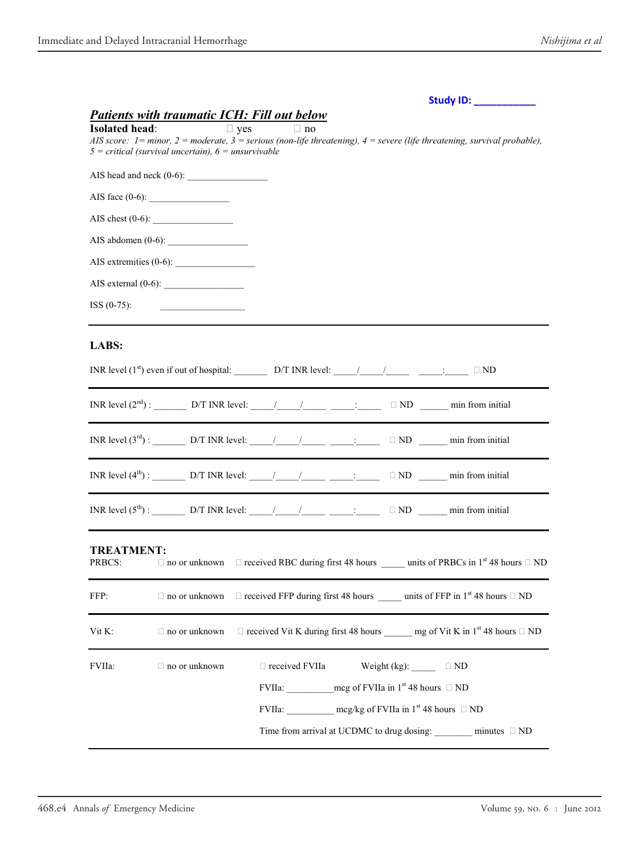| <b>Study ID:</b> |  |  |  |
|------------------|--|--|--|
|                  |  |  |  |

### *Patients with traumatic ICH: Fill out below*

| <b>Isolated head:</b>       | $5 = critical$ (survival uncertain), $6 =$ unsurvivable                | $\Box$ yes | $\Box$ no             |                                                    | AIS score: $1 =$ minor, $2 =$ moderate, $3 =$ serious (non-life threatening), $4 =$ severe (life threatening, survival probable), |  |
|-----------------------------|------------------------------------------------------------------------|------------|-----------------------|----------------------------------------------------|-----------------------------------------------------------------------------------------------------------------------------------|--|
|                             | AIS head and neck $(0-6)$ :                                            |            |                       |                                                    |                                                                                                                                   |  |
|                             |                                                                        |            |                       |                                                    |                                                                                                                                   |  |
|                             | AIS chest $(0-6)$ :                                                    |            |                       |                                                    |                                                                                                                                   |  |
|                             | AIS abdomen $(0-6)$ :                                                  |            |                       |                                                    |                                                                                                                                   |  |
|                             |                                                                        |            |                       |                                                    |                                                                                                                                   |  |
|                             | AIS external $(0-6)$ :                                                 |            |                       |                                                    |                                                                                                                                   |  |
| $ISS (0-75):$               |                                                                        |            |                       |                                                    |                                                                                                                                   |  |
| LABS:                       |                                                                        |            |                       |                                                    |                                                                                                                                   |  |
|                             | INR level $(2^{nd})$ : D/T INR level: / / : $\Box$ ND min from initial |            |                       |                                                    |                                                                                                                                   |  |
|                             |                                                                        |            |                       |                                                    |                                                                                                                                   |  |
|                             | INR level $(4^{th})$ : D/T INR level: / / : IND min from initial       |            |                       |                                                    |                                                                                                                                   |  |
|                             |                                                                        |            |                       |                                                    |                                                                                                                                   |  |
| <b>TREATMENT:</b><br>PRBCS: |                                                                        |            |                       |                                                    | $\Box$ no or unknown $\Box$ received RBC during first 48 hours units of PRBCs in 1 <sup>st</sup> 48 hours $\Box$ ND               |  |
| FFP:                        |                                                                        |            |                       |                                                    | $\Box$ no or unknown $\Box$ received FFP during first 48 hours units of FFP in 1 <sup>st</sup> 48 hours $\Box$ ND                 |  |
| Vit K:                      | $\Box$ no or unknown                                                   |            |                       |                                                    | $\Box$ received Vit K during first 48 hours mg of Vit K in 1 <sup>st</sup> 48 hours $\Box$ ND                                     |  |
| FVIIa:                      | $\Box$ no or unknown                                                   |            | $\Box$ received FVIIa | Weight (kg): $\qquad \qquad \Box$ ND               |                                                                                                                                   |  |
|                             |                                                                        |            |                       | FVIIa: mcg of FVIIa in $1^{st}$ 48 hours $\Box$ ND |                                                                                                                                   |  |
|                             |                                                                        |            |                       |                                                    | FVIIa: $mcg/kg$ of FVIIa in 1 <sup>st</sup> 48 hours $\Box$ ND                                                                    |  |
|                             |                                                                        |            |                       | Time from arrival at UCDMC to drug dosing:         | minutes $\Box$ ND                                                                                                                 |  |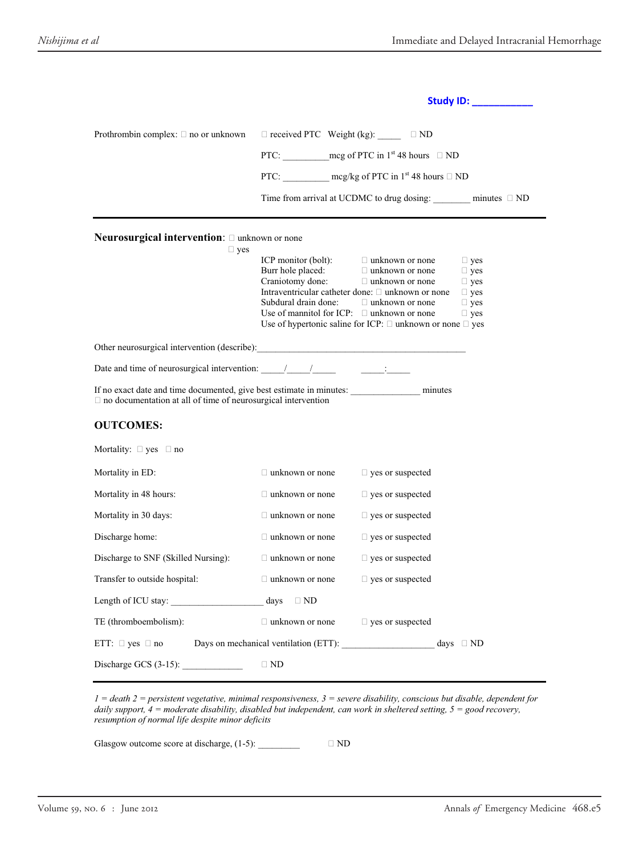|                                                                                                                                                              |                                                                                             | Study ID: ___________                                                                                                                                                                                                                                                   |
|--------------------------------------------------------------------------------------------------------------------------------------------------------------|---------------------------------------------------------------------------------------------|-------------------------------------------------------------------------------------------------------------------------------------------------------------------------------------------------------------------------------------------------------------------------|
| Prothrombin complex: $\Box$ no or unknown<br>Neurosurgical intervention: $\square$ unknown or none<br>$\Box$ yes                                             | $\Box$ received PTC Weight (kg): $\_\_$<br>ICP monitor (bolt):<br>Burr hole placed:         | $\Box$ ND<br>PTC: mcg of PTC in $1^{st}$ 48 hours $\Box$ ND<br>PTC: mcg/kg of PTC in $1^{\text{st}}$ 48 hours $\Box$ ND<br>Time from arrival at UCDMC to drug dosing: $minutes \Box ND$<br>$\Box$ unknown or none<br>$\Box$ yes<br>$\Box$ unknown or none<br>$\Box$ yes |
|                                                                                                                                                              | Craniotomy done:<br>Subdural drain done:<br>Use of mannitol for ICP: $\Box$ unknown or none | $\Box$ unknown or none<br>$\Box$ yes<br>Intraventricular catheter done: □ unknown or none<br>$\Box$ yes<br>$\Box$ unknown or none<br>$\Box$ yes<br>$\Box$ yes<br>Use of hypertonic saline for ICP: $\Box$ unknown or none $\Box$ yes                                    |
| Other neurosurgical intervention (describe):                                                                                                                 |                                                                                             |                                                                                                                                                                                                                                                                         |
| Date and time of neurosurgical intervention: $\frac{1}{\sqrt{1-\frac{1}{2}}}$                                                                                |                                                                                             |                                                                                                                                                                                                                                                                         |
| If no exact date and time documented, give best estimate in minutes: minutes minutes<br>$\Box$ no documentation at all of time of neurosurgical intervention |                                                                                             |                                                                                                                                                                                                                                                                         |
| <b>OUTCOMES:</b>                                                                                                                                             |                                                                                             |                                                                                                                                                                                                                                                                         |
| Mortality: $\Box$ yes $\Box$ no                                                                                                                              |                                                                                             |                                                                                                                                                                                                                                                                         |
| Mortality in ED:                                                                                                                                             | $\Box$ unknown or none                                                                      | $\Box$ yes or suspected                                                                                                                                                                                                                                                 |
| Mortality in 48 hours:                                                                                                                                       | $\Box$ unknown or none                                                                      | $\square$ yes or suspected                                                                                                                                                                                                                                              |
| Mortality in 30 days:                                                                                                                                        | $\Box$ unknown or none                                                                      | $\Box$ yes or suspected                                                                                                                                                                                                                                                 |
| Discharge home:                                                                                                                                              | $\Box$ unknown or none                                                                      | $\square$ yes or suspected                                                                                                                                                                                                                                              |
| Discharge to SNF (Skilled Nursing):                                                                                                                          | $\Box$ unknown or none                                                                      | $\Box$ yes or suspected                                                                                                                                                                                                                                                 |
| Transfer to outside hospital:                                                                                                                                | $\Box$ unknown or none                                                                      | $\Box$ yes or suspected                                                                                                                                                                                                                                                 |
| Length of ICU stay: days                                                                                                                                     | $\Box$ ND                                                                                   |                                                                                                                                                                                                                                                                         |
| TE (thromboembolism):                                                                                                                                        | $\Box$ unknown or none $\Box$ yes or suspected                                              |                                                                                                                                                                                                                                                                         |
| ETT: $\Box$ yes $\Box$ no                                                                                                                                    |                                                                                             | Days on mechanical ventilation (ETT): $\qquad \qquad \text{days} \quad \Box \text{ND}$                                                                                                                                                                                  |
| Discharge GCS $(3-15)$ :                                                                                                                                     | $\Box$ ND                                                                                   |                                                                                                                                                                                                                                                                         |

*1 = death 2 = persistent vegetative, minimal responsiveness, 3 = severe disability, conscious but disable, dependent for daily support, 4 = moderate disability, disabled but independent, can work in sheltered setting, 5 = good recovery, resumption of normal life despite minor deficits* 

Glasgow outcome score at discharge,  $(1-5)$ :  $\qquad \qquad \Box \text{ND}$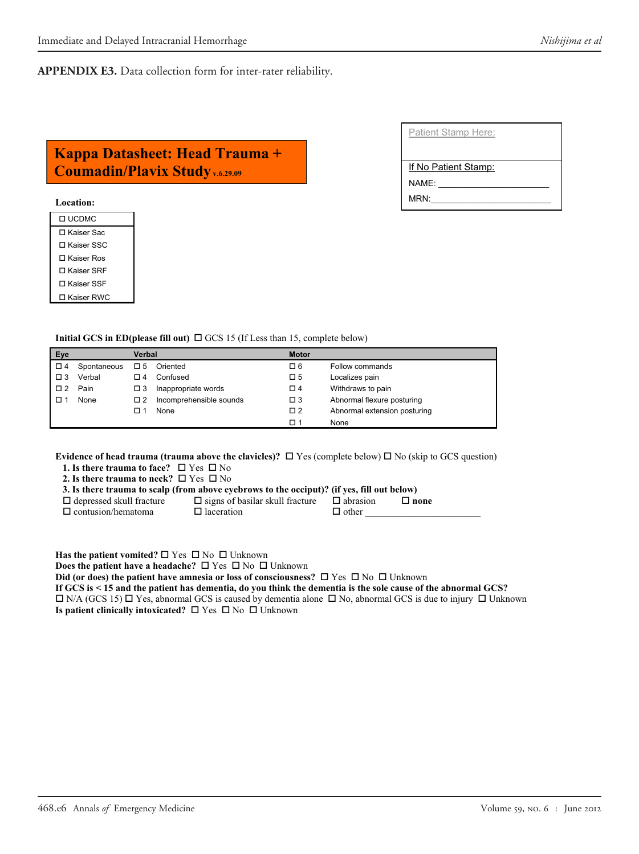**APPENDIX E3.** Data collection form for inter-rater reliability.

## **Kappa Datasheet: Head Trauma + Coumadin/Plavix Study v.6.29.09 If No Patient Stamp:**

#### **Location:**

| LI UCDMC     |
|--------------|
| □ Kaiser Sac |
| ∩ Kaiser SSC |
| ∏ Kaiser Ros |
| ∩ Kaiser SRF |
| ∩ Kaiser SSF |
| □ Kaiser RWC |

| Initial GCS in ED(please fill out) $\Box$ GCS 15 (If Less than 15, complete below) |             |          |                         |             |                              |  |  |  |  |
|------------------------------------------------------------------------------------|-------------|----------|-------------------------|-------------|------------------------------|--|--|--|--|
| Eye                                                                                |             |          | Verbal                  |             | <b>Motor</b>                 |  |  |  |  |
| □ 4                                                                                | Spontaneous | □ 5      | Oriented                | 口 6         | Follow commands              |  |  |  |  |
| $\square$ 3                                                                        | Verbal      | □ 4      | Confused                | $\square$ 5 | Localizes pain               |  |  |  |  |
| $\Box$ 2                                                                           | Pain        | $\Box$ 3 | Inappropriate words     | $\Box$ 4    | Withdraws to pain            |  |  |  |  |
|                                                                                    | None        | $\Box$ 2 | Incomprehensible sounds | $\square$ 3 | Abnormal flexure posturing   |  |  |  |  |
|                                                                                    |             | п        | None                    | $\square$ 2 | Abnormal extension posturing |  |  |  |  |
|                                                                                    |             |          |                         | □ 1         | None                         |  |  |  |  |

**Evidence of head trauma (trauma above the clavicles)?**  $\Box$  Yes (complete below)  $\Box$  No (skip to GCS question)

**1. Is there trauma to face?**  $\Box$  Yes  $\Box$  No **2. Is there trauma to neck?**  $\Box$  Yes  $\Box$  No

 **3. Is there trauma to scalp (from above eyebrows to the occiput)? (if yes, fill out below)**   $\Box$  depressed skull fracture  $\Box$  signs of basilar skull fracture  $\Box$  abrasion  $\Box$  **none** 

 $\Box$  contusion/hematoma  $\Box$  laceration  $\Box$  other

**Has the patient vomited?**  $\Box$  Yes  $\Box$  No  $\Box$  Unknown

**Does the patient have a headache?**  $\Box$  Yes  $\Box$  No  $\Box$  Unknown

**Did (or does) the patient have amnesia or loss of consciousness?** □ Yes □ No □ Unknown

**If GCS is < 15 and the patient has dementia, do you think the dementia is the sole cause of the abnormal GCS?**   $\Box$  N/A (GCS 15)  $\Box$  Yes, abnormal GCS is caused by dementia alone  $\Box$  No, abnormal GCS is due to injury  $\Box$  Unknown **Is patient clinically intoxicated?** □ Yes □ No □ Unknown

NAME:

MRN: